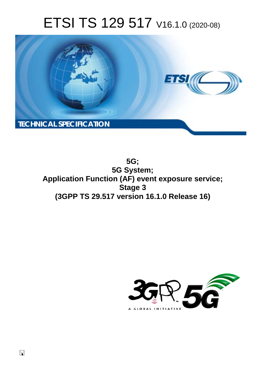# ETSI TS 129 517 V16.1.0 (2020-08)



**5G; 5G System; Application Function (AF) event exposure service; Stage 3 (3GPP TS 29.517 version 16.1.0 Release 16)** 

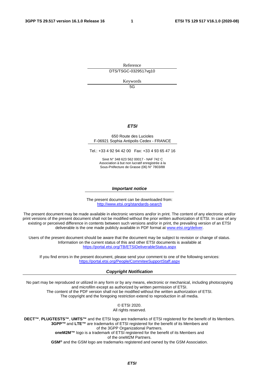Reference DTS/TSGC-0329517vg10

Keywords

5G

#### *ETSI*

#### 650 Route des Lucioles F-06921 Sophia Antipolis Cedex - FRANCE

Tel.: +33 4 92 94 42 00 Fax: +33 4 93 65 47 16

Siret N° 348 623 562 00017 - NAF 742 C Association à but non lucratif enregistrée à la Sous-Préfecture de Grasse (06) N° 7803/88

#### *Important notice*

The present document can be downloaded from: <http://www.etsi.org/standards-search>

The present document may be made available in electronic versions and/or in print. The content of any electronic and/or print versions of the present document shall not be modified without the prior written authorization of ETSI. In case of any existing or perceived difference in contents between such versions and/or in print, the prevailing version of an ETSI deliverable is the one made publicly available in PDF format at [www.etsi.org/deliver.](http://www.etsi.org/deliver)

Users of the present document should be aware that the document may be subject to revision or change of status. Information on the current status of this and other ETSI documents is available at <https://portal.etsi.org/TB/ETSIDeliverableStatus.aspx>

If you find errors in the present document, please send your comment to one of the following services: <https://portal.etsi.org/People/CommiteeSupportStaff.aspx>

#### *Copyright Notification*

No part may be reproduced or utilized in any form or by any means, electronic or mechanical, including photocopying and microfilm except as authorized by written permission of ETSI. The content of the PDF version shall not be modified without the written authorization of ETSI. The copyright and the foregoing restriction extend to reproduction in all media.

> © ETSI 2020. All rights reserved.

**DECT™**, **PLUGTESTS™**, **UMTS™** and the ETSI logo are trademarks of ETSI registered for the benefit of its Members. **3GPP™** and **LTE™** are trademarks of ETSI registered for the benefit of its Members and of the 3GPP Organizational Partners. **oneM2M™** logo is a trademark of ETSI registered for the benefit of its Members and of the oneM2M Partners. **GSM®** and the GSM logo are trademarks registered and owned by the GSM Association.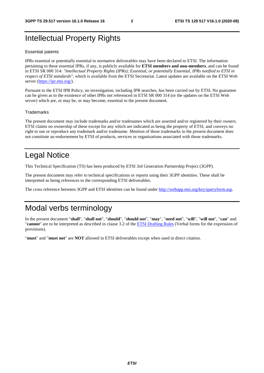# Intellectual Property Rights

#### Essential patents

IPRs essential or potentially essential to normative deliverables may have been declared to ETSI. The information pertaining to these essential IPRs, if any, is publicly available for **ETSI members and non-members**, and can be found in ETSI SR 000 314: *"Intellectual Property Rights (IPRs); Essential, or potentially Essential, IPRs notified to ETSI in respect of ETSI standards"*, which is available from the ETSI Secretariat. Latest updates are available on the ETSI Web server [\(https://ipr.etsi.org/](https://ipr.etsi.org/)).

Pursuant to the ETSI IPR Policy, no investigation, including IPR searches, has been carried out by ETSI. No guarantee can be given as to the existence of other IPRs not referenced in ETSI SR 000 314 (or the updates on the ETSI Web server) which are, or may be, or may become, essential to the present document.

#### **Trademarks**

The present document may include trademarks and/or tradenames which are asserted and/or registered by their owners. ETSI claims no ownership of these except for any which are indicated as being the property of ETSI, and conveys no right to use or reproduce any trademark and/or tradename. Mention of those trademarks in the present document does not constitute an endorsement by ETSI of products, services or organizations associated with those trademarks.

# Legal Notice

This Technical Specification (TS) has been produced by ETSI 3rd Generation Partnership Project (3GPP).

The present document may refer to technical specifications or reports using their 3GPP identities. These shall be interpreted as being references to the corresponding ETSI deliverables.

The cross reference between 3GPP and ETSI identities can be found under<http://webapp.etsi.org/key/queryform.asp>.

# Modal verbs terminology

In the present document "**shall**", "**shall not**", "**should**", "**should not**", "**may**", "**need not**", "**will**", "**will not**", "**can**" and "**cannot**" are to be interpreted as described in clause 3.2 of the [ETSI Drafting Rules](https://portal.etsi.org/Services/editHelp!/Howtostart/ETSIDraftingRules.aspx) (Verbal forms for the expression of provisions).

"**must**" and "**must not**" are **NOT** allowed in ETSI deliverables except when used in direct citation.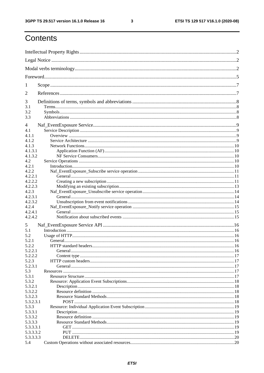$\mathbf{3}$ 

# Contents

| 1                  |                              |  |
|--------------------|------------------------------|--|
| 2                  |                              |  |
| 3                  |                              |  |
| 3.1                |                              |  |
| 3.2                |                              |  |
| 3.3                |                              |  |
| 4                  |                              |  |
| 4.1                |                              |  |
| 4.1.1              |                              |  |
| 4.1.2              |                              |  |
| 4.1.3              |                              |  |
| 4.1.3.1            |                              |  |
| 4.1.3.2            |                              |  |
| 4.2                |                              |  |
| 4.2.1              |                              |  |
| 4.2.2              |                              |  |
| 4.2.2.1            |                              |  |
| 4.2.2.2            |                              |  |
| 4.2.2.3            |                              |  |
| 4.2.3              |                              |  |
| 4.2.3.1            |                              |  |
| 4.2.3.2            |                              |  |
| 4.2.4              |                              |  |
| 4.2.4.1<br>4.2.4.2 |                              |  |
|                    |                              |  |
| 5                  |                              |  |
| 5.1                |                              |  |
| 5.2                |                              |  |
| 5.2.1              |                              |  |
| 5.2.2              | <b>HTTP</b> standard headers |  |
| 5.2.2.1            |                              |  |
| 5.2.2.2            |                              |  |
| 5.2.3              |                              |  |
| 5.2.3.1            |                              |  |
| 5.3                |                              |  |
| 5.3.1              |                              |  |
| 5.3.2              |                              |  |
| 5.3.2.1            |                              |  |
| 5.3.2.2            |                              |  |
| 5.3.2.3            |                              |  |
| 5.3.2.3.1          |                              |  |
| 5.3.3              |                              |  |
| 5.3.3.1            |                              |  |
| 5.3.3.2            |                              |  |
| 5.3.3.3            |                              |  |
| 5.3.3.3.1          |                              |  |
| 5.3.3.3.2          |                              |  |
| 5.3.3.3.3          |                              |  |
| 5.4                |                              |  |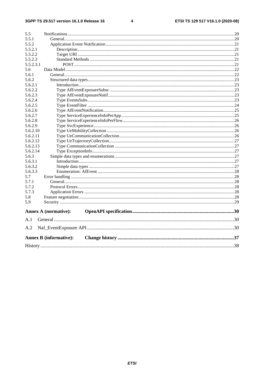$\overline{\mathbf{4}}$ 

| 5.5       |                               |  |
|-----------|-------------------------------|--|
| 5.5.1     |                               |  |
| 5.5.2     |                               |  |
| 5.5.2.1   |                               |  |
| 5.5.2.2   |                               |  |
| 5.5.2.3   |                               |  |
| 5.5.2.3.1 |                               |  |
| 5.6       |                               |  |
| 5.6.1     |                               |  |
| 5.6.2     |                               |  |
| 5.6.2.1   |                               |  |
| 5.6.2.2   |                               |  |
| 5.6.2.3   |                               |  |
| 5.6.2.4   |                               |  |
| 5.6.2.5   |                               |  |
| 5.6.2.6   |                               |  |
| 5.6.2.7   |                               |  |
| 5.6.2.8   |                               |  |
| 5.6.2.9   |                               |  |
| 5.6.2.10  |                               |  |
| 5.6.2.11  |                               |  |
| 5.6.2.12  |                               |  |
| 5.6.2.13  |                               |  |
| 5.6.2.14  |                               |  |
| 5.6.3     |                               |  |
| 5.6.3.1   |                               |  |
| 5.6.3.2   |                               |  |
| 5.6.3.3   |                               |  |
| 5.7       |                               |  |
| 5.7.1     |                               |  |
| 5.7.2     |                               |  |
| 5.7.3     |                               |  |
| 5.8       |                               |  |
| 5.9       |                               |  |
|           | <b>Annex A (normative):</b>   |  |
| A.1       |                               |  |
| A.2       |                               |  |
|           | <b>Annex B (informative):</b> |  |
|           |                               |  |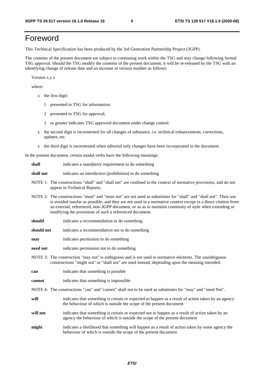# Foreword

This Technical Specification has been produced by the 3rd Generation Partnership Project (3GPP).

The contents of the present document are subject to continuing work within the TSG and may change following formal TSG approval. Should the TSG modify the contents of the present document, it will be re-released by the TSG with an identifying change of release date and an increase in version number as follows:

Version x.y.z

where:

- x the first digit:
	- 1 presented to TSG for information;
	- 2 presented to TSG for approval;
	- 3 or greater indicates TSG approved document under change control.
- y the second digit is incremented for all changes of substance, i.e. technical enhancements, corrections, updates, etc.
- z the third digit is incremented when editorial only changes have been incorporated in the document.

In the present document, certain modal verbs have the following meanings:

- **shall** indicates a mandatory requirement to do something
- **shall not** indicates an interdiction (prohibition) to do something
- NOTE 1: The constructions "shall" and "shall not" are confined to the context of normative provisions, and do not appear in Technical Reports.
- NOTE 2: The constructions "must" and "must not" are not used as substitutes for "shall" and "shall not". Their use is avoided insofar as possible, and they are not used in a normative context except in a direct citation from an external, referenced, non-3GPP document, or so as to maintain continuity of style when extending or modifying the provisions of such a referenced document.
- **should** indicates a recommendation to do something
- **should not** indicates a recommendation not to do something
- **may** indicates permission to do something
- **need not** indicates permission not to do something
- NOTE 3: The construction "may not" is ambiguous and is not used in normative elements. The unambiguous constructions "might not" or "shall not" are used instead, depending upon the meaning intended.
- **can** indicates that something is possible
- **cannot** indicates that something is impossible
- NOTE 4: The constructions "can" and "cannot" shall not to be used as substitutes for "may" and "need Not".
- **will** indicates that something is certain or expected to happen as a result of action taken by an agency the behaviour of which is outside the scope of the present document
- **will not** indicates that something is certain or expected not to happen as a result of action taken by an agency the behaviour of which is outside the scope of the present document
- **might** indicates a likelihood that something will happen as a result of action taken by some agency the behaviour of which is outside the scope of the present document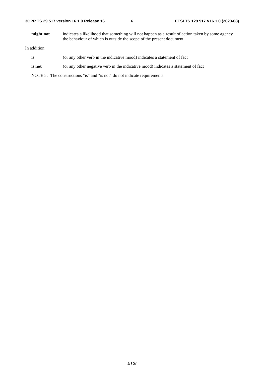| 3GPP TS 29.517 version 16.1.0 Release 16 |  |
|------------------------------------------|--|
|------------------------------------------|--|

**might not** indicates a likelihood that something will not happen as a result of action taken by some agency the behaviour of which is outside the scope of the present document

In addition:

- is (or any other verb in the indicative mood) indicates a statement of fact
- **is not** (or any other negative verb in the indicative mood) indicates a statement of fact

NOTE 5: The constructions "is" and "is not" do not indicate requirements.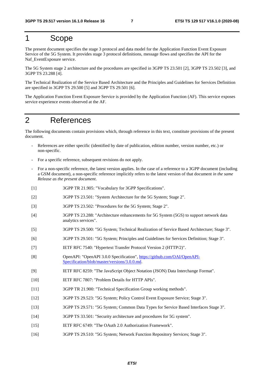# 1 Scope

The present document specifies the stage 3 protocol and data model for the Application Function Event Exposure Service of the 5G System. It provides stage 3 protocol definitions, message flows and specifies the API for the Naf\_EventExposure service.

The 5G System stage 2 architecture and the procedures are specified in 3GPP TS 23.501 [2], 3GPP TS 23.502 [3], and 3GPP TS 23.288 [4].

The Technical Realization of the Service Based Architecture and the Principles and Guidelines for Services Definition are specified in 3GPP TS 29.500 [5] and 3GPP TS 29.501 [6].

The Application Function Event Exposure Service is provided by the Application Function (AF). This service exposes service experience events observed at the AF.

# 2 References

The following documents contain provisions which, through reference in this text, constitute provisions of the present document.

- References are either specific (identified by date of publication, edition number, version number, etc.) or non-specific.
- For a specific reference, subsequent revisions do not apply.
- For a non-specific reference, the latest version applies. In the case of a reference to a 3GPP document (including a GSM document), a non-specific reference implicitly refers to the latest version of that document *in the same Release as the present document*.
- [1] 3GPP TR 21.905: "Vocabulary for 3GPP Specifications".
- [2] 3GPP TS 23.501: "System Architecture for the 5G System; Stage 2".
- [3] 3GPP TS 23.502: "Procedures for the 5G System; Stage 2".
- [4] 3GPP TS 23.288: "Architecture enhancements for 5G System (5GS) to support network data analytics services".
- [5] 3GPP TS 29.500: "5G System; Technical Realization of Service Based Architecture; Stage 3".
- [6] 3GPP TS 29.501: "5G System; Principles and Guidelines for Services Definition; Stage 3".
- [7] IETF RFC 7540: "Hypertext Transfer Protocol Version 2 (HTTP/2)".
- [8] OpenAPI: "OpenAPI 3.0.0 Specification", [https://github.com/OAI/OpenAPI](https://github.com/OAI/OpenAPI-Specification/blob/master/versions/3.0.0.md)-[Specification/blob/master/versions/3.0.0.md](https://github.com/OAI/OpenAPI-Specification/blob/master/versions/3.0.0.md).
- [9] IETF RFC 8259: "The JavaScript Object Notation (JSON) Data Interchange Format".
- [10] IETF RFC 7807: "Problem Details for HTTP APIs".
- [11] 3GPP TR 21.900: "Technical Specification Group working methods".
- [12] 3GPP TS 29.523: "5G System; Policy Control Event Exposure Service; Stage 3".
- [13] 3GPP TS 29.571: "5G System; Common Data Types for Service Based Interfaces Stage 3".
- [14] 3GPP TS 33.501: "Security architecture and procedures for 5G system".
- [15] IETF RFC 6749: "The OAuth 2.0 Authorization Framework".
- [16] 3GPP TS 29.510: "5G System; Network Function Repository Services; Stage 3".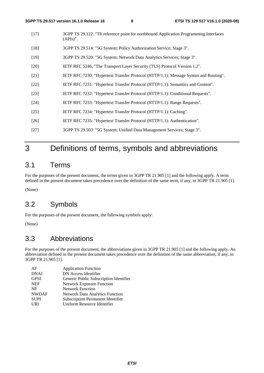- [17] 3GPP TS 29.122: "T8 reference point for northbound Application Programming Interfaces (APIs)". [18] 3GPP TS 29.514: "5G System; Policy Authorization Service; Stage 3". [19] 3GPP TS 29.520: "5G System; Network Data Analytics Services; Stage 3".
- [20] IETF RFC 5246, "The Transport Layer Security (TLS) Protocol Version 1.2".
- [21] IETF RFC 7230: "Hypertext Transfer Protocol (HTTP/1.1): Message Syntax and Routing".
- [22] IETF RFC 7231: "Hypertext Transfer Protocol (HTTP/1.1): Semantics and Content".
- [23] IETF RFC 7232: "Hypertext Transfer Protocol (HTTP/1.1): Conditional Requests".
- [24] IETF RFC 7233: "Hypertext Transfer Protocol (HTTP/1.1): Range Requests".
- [25] IETF RFC 7234: "Hypertext Transfer Protocol (HTTP/1.1): Caching".
- [26] IETF RFC 7235: "Hypertext Transfer Protocol (HTTP/1.1): Authentication".
- [27] 3GPP TS 29.503: "5G System; Unified Data Management Services; Stage 3".

# 3 Definitions of terms, symbols and abbreviations

### 3.1 Terms

For the purposes of the present document, the terms given in 3GPP TR 21.905 [1] and the following apply. A term defined in the present document takes precedence over the definition of the same term, if any, in 3GPP TR 21.905 [1].

(None)

### 3.2 Symbols

For the purposes of the present document, the following symbols apply:

(None)

### 3.3 Abbreviations

For the purposes of the present document, the abbreviations given in 3GPP TR 21.905 [1] and the following apply. An abbreviation defined in the present document takes precedence over the definition of the same abbreviation, if any, in 3GPP TR 21.905 [1].

| AF           | <b>Application Function</b>              |
|--------------|------------------------------------------|
| <b>DNAI</b>  | DN Access Identifier                     |
| <b>GPSI</b>  | Generic Public Subscription Identifier   |
| <b>NEF</b>   | <b>Network Exposure Function</b>         |
| NF           | <b>Network Function</b>                  |
| <b>NWDAF</b> | <b>Network Data Analytics Function</b>   |
| <b>SUPI</b>  | <b>Subscription Permanent Identifier</b> |
| <b>URI</b>   | Uniform Resource Identifier              |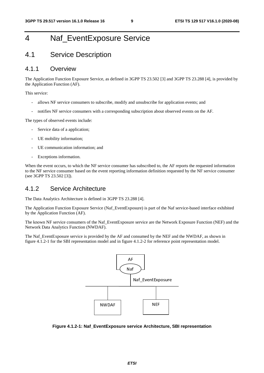# 4 Naf\_EventExposure Service

### 4.1 Service Description

### 4.1.1 Overview

The Application Function Exposure Service, as defined in 3GPP TS 23.502 [3] and 3GPP TS 23.288 [4], is provided by the Application Function (AF).

This service:

- allows NF service consumers to subscribe, modify and unsubscribe for application events; and
- notifies NF service consumers with a corresponding subscription about observed events on the AF.

The types of observed events include:

- Service data of a application:
- UE mobility information;
- UE communication information; and
- Exceptions information.

When the event occurs, to which the NF service consumer has subscribed to, the AF reports the requested information to the NF service consumer based on the event reporting information definition requested by the NF service consumer (see 3GPP TS 23.502 [3]).

### 4.1.2 Service Architecture

The Data Analytics Architecture is defined in 3GPP TS 23.288 [4].

The Application Function Exposure Service (Naf\_EventExposure) is part of the Naf service-based interface exhibited by the Application Function (AF).

The known NF service consumers of the Naf\_EventExposure service are the Network Exposure Function (NEF) and the Network Data Analytics Function (NWDAF).

The Naf\_EventExposure service is provided by the AF and consumed by the NEF and the NWDAF, as shown in figure 4.1.2-1 for the SBI representation model and in figure 4.1.2-2 for reference point representation model.



**Figure 4.1.2-1: Naf\_EventExposure service Architecture, SBI representation**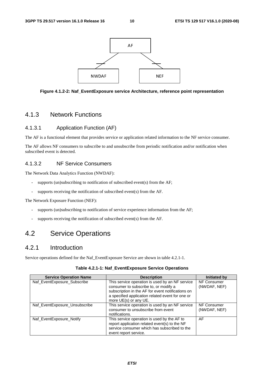



### 4.1.3 Network Functions

#### 4.1.3.1 Application Function (AF)

The AF is a functional element that provides service or application related information to the NF service consumer.

The AF allows NF consumers to subscribe to and unsubscribe from periodic notification and/or notification when subscribed event is detected.

#### 4.1.3.2 NF Service Consumers

The Network Data Analytics Function (NWDAF):

- supports (un)subscribing to notification of subscribed event(s) from the AF;
- supports receiving the notification of subscribed event(s) from the AF.

The Network Exposure Function (NEF):

- supports (un)subscribing to notification of service experience information from the AF;
- supports receiving the notification of subscribed event(s) from the AF.

### 4.2 Service Operations

### 4.2.1 Introduction

Service operations defined for the Naf\_EventExposure Service are shown in table 4.2.1-1.

| <b>Service Operation Name</b> | <b>Description</b>                                                                                                                                                                                                         | <b>Initiated by</b>         |
|-------------------------------|----------------------------------------------------------------------------------------------------------------------------------------------------------------------------------------------------------------------------|-----------------------------|
| Naf_EventExposure_Subscribe   | This service operation is used by an NF service<br>consumer to subscribe to, or modify a<br>subscription in the AF for event notifications on<br>a specified application related event for one or<br>more UE(s) or any UE. | NF Consumer<br>(NWDAF, NEF) |
| Naf_EventExposure_Unsubscribe | This service operation is used by an NF service<br>consumer to unsubscribe from event<br>notifications.                                                                                                                    | NF Consumer<br>(NWDAF, NEF) |
| Naf EventExposure Notify      | This service operation is used by the AF to<br>report application related event(s) to the NF<br>service consumer which has subscribed to the<br>event report service.                                                      | AF                          |

**Table 4.2.1-1: Naf\_EventExposure Service Operations**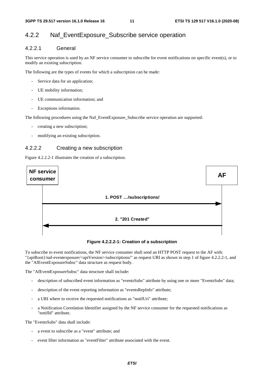### 4.2.2 Naf\_EventExposure\_Subscribe service operation

### 4.2.2.1 General

This service operation is used by an NF service consumer to subscribe for event notifications on specific event(s), or to modify an existing subscription.

The following are the types of events for which a subscription can be made:

- Service data for an application;
- UE mobility information;
- UE communication information; and
- Exceptions information.

The following procedures using the Naf\_EventExposure\_Subscribe service operation are supported:

- creating a new subscription;
- modifying an existing subscription.

#### 4.2.2.2 Creating a new subscription

Figure 4.2.2.2-1 illustrates the creation of a subscription.



**Figure 4.2.2.2-1: Creation of a subscription** 

To subscribe to event notifications, the NF service consumer shall send an HTTP POST request to the AF with: "{apiRoot}/naf-eventexposure/<apiVersion>/subscriptions/" as request URI as shown in step 1 of figure 4.2.2.2-1, and the "AfEventExposureSubsc" data structure as request body.

The "AfEventExposureSubsc" data structure shall include:

- description of subscribed event information as "eventsSubs" attribute by using one or more "EventsSubs" data;
- description of the event reporting information as "eventsRepInfo" attribute;
- a URI where to receive the requested notifications as "notifUri" attribute;
- a Notification Correlation Identifier assigned by the NF service consumer for the requested notifications as "notifId" attribute.

The "EventsSubs" data shall include:

- a event to subscribe as a "event" attribute; and
- event filter information as "eventFilter" attribute associated with the event.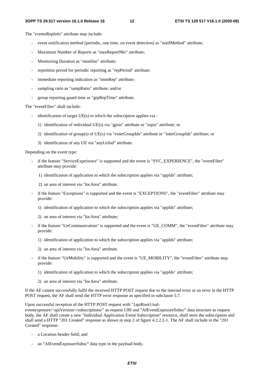The "eventsRepInfo" attribute may include:

- event notification method (periodic, one time, on event detection) as "notifMethod" attribute;
- Maximum Number of Reports as "maxReportNbr" attribute;
- Monitoring Duration as "monDur" attribute;
- repetition period for periodic reporting as "repPeriod" attribute;
- immediate reporting indication as "immRep" attribute;
- sampling ratio as "sampRatio" attribute; and/or
- group reporting guard time as "grpRepTime" attribute.

The "eventFilter" shall include:

- identification of target UE(s) to which the subscription applies via :
	- 1) identification of individual UE(s) via "gpsis" attribute or "supis" attribute; or
	- 2) identification of group(s) of UE(s) via "exterGroupIds" attribute or "interGroupIds" attribute; or
	- 3) identification of any UE via "anyUeInd" attribute.

Depending on the event type:

- if the feature "ServiceExperience" is supported and the event is "SVC\_EXPERIENCE", the "eventFilter" attribute may provide:
	- 1) identification of application to which the subscription applies via "appIds" attribute;
	- 2) an area of interest via "locArea" attribute.
- if the feature "Exceptions" is supported and the event is "EXCEPTIONS", the "eventFilter" attribute may provide:
	- 1) identification of application to which the subscription applies via "appIds" attribute;
	- 2) an area of interest via "locArea" attribute;
- if the feature "UeCommunication" is supported and the event is "UE\_COMM", the "eventFilter" attribute may provide:
	- 1) identification of application to which the subscription applies via "appIds" attribute;
	- 2) an area of interest via "locArea" attribute.
- if the feature "UeMobility" is supported and the event is "UE\_MOBILITY", the "eventFilter" attribute may provide:
	- 1) identification of application to which the subscription applies via "appIds" attribute;
	- 2) an area of interest via "locArea" attribute.

If the AF cannot successfully fulfil the received HTTP POST request due to the internal error or an error in the HTTP POST request, the AF shall send the HTTP error response as specified in subclause 5.7.

Upon successful reception of the HTTP POST request with "{apiRoot}/naf-

eventexposure/<apiVersion>/subscriptions/" as request URI and "AfEventExposureSubsc" data structure as request "AfEventExposureSubsc" data structure as request<br>ubscription" resource, shall store the subscription ar<br>figure 4.2.2.2-1. The AF shall include in the "201 body, the AF shall create a new "Individual Application Event Subscription" resource, shall store the subscription and shall send a HTTP "201 Created" response as shown in step 2 of figure 4.2.2.2-1. The AF shall include in the "201 Created" response:

- a Location header field; and
- an "AfEventExposureSubsc" data type in the payload body.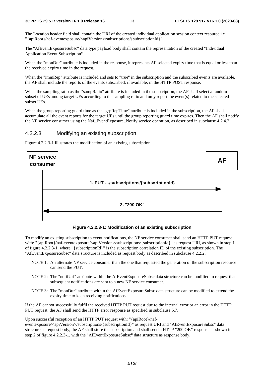The Location header field shall contain the URI of the created individual application session context resource i.e. "{apiRoot}/naf-eventexposure/<apiVersion>/subscriptions/{subscriptionId}".

The "AfEventExposureSubsc" data type payload body shall contain the representation of the created "Individual Application Event Subscription".

Application Event Subscription".<br>When the "monDur" attribute is included in the response, it represents AF selected expiry time that is equal or less than the received expiry time in the request.

When the "immRep" attribute is included and sets to "true" in the subscription and the subscribed events are available, the AF shall include the reports of the events subscribed, if available, in the HTTP POST response. the AF shall include the reports of the events subscribed, if available, in the HTTP POST response.

When the sampling ratio as the "sampRatio" attribute is included in the subscription, the AF shall select a random subset of UEs among target UEs according to the sampling ratio and only report the event(s) related to the selected subset UEs.

When the group reporting guard time as the "grpRepTime" attribute is included in the subscription, the AF shall accumulate all the event reports for the target UEs until the group reporting guard time expires. Then the AF shall notify the NF service consumer using the Naf\_EventExposure\_Notify service operation, as described in subclause 4.2.4.2.

#### 4.2.2.3 Modifying an existing subscription

Figure 4.2.2.3-1 illustrates the modification of an existing subscription.



**Figure 4.2.2.3-1: Modification of an existing subscription** 

To modify an existing subscription to event notifications, the NF service consumer shall send an HTTP PUT request with: "{apiRoot}/naf-eventexposure/<apiVersion>/subscriptions/{subscriptionId}" as request URI, as shown in step 1 of figure 4.2.2.3-1, where "{subscriptionId}" is the subscription correlation ID of the existing subscription. The

- "AfEventExposureSubsc" data structure is included as request body as described in subclause 4.2.2.2. NOTE 1: An alternate NF service consumer than the one that requested the generation of the subscription resource can send the PUT.
	- NOTE 2: The "notifUri" attribute within the AfEventExposureSubsc data structure can be modified to request that subsequent notifications are sent to a new NF service consumer.
	- NOTE 3: The "monDur" attribute within the AfEventExposureSubsc data structure can be modified to extend the expiry time to keep receiving notifications.

If the AF cannot successfully fulfil the received HTTP PUT request due to the internal error or an error in the HTTP PUT request, the AF shall send the HTTP error response as specified in subclause 5.7.

Upon successful reception of an HTTP PUT request with: "{apiRoot}/naf-

eventexposure/<apiVersion>/subscriptions/{subscriptionId}" as request URI and "AfEventExposureSubsc" data "AfEventExposureSubsc" data<br>FP "200 OK" response as showi<br>ponse body. structure as request body, the AF shall store the subscription and shall send a HTTP "200 OK" response as shown in step 2 of figure 4.2.2.3-1, with the "AfEventExposureSubsc" data structure as response body.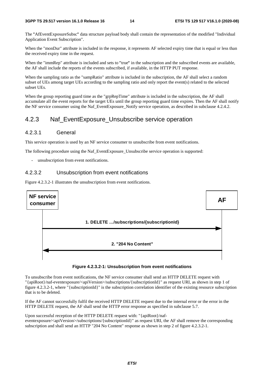The "AfEventExposureSubsc" data structure payload body shall contain the representation of the modified "Individual Application Event Subscription".

When the "monDur" attribute is included in the response, it represents AF selected expiry time that is equal or less than the received expiry time in the request.

When the "immRep" attribute is included and sets to "true" in the subscription and the subscribed events are available, the AF shall include the reports of the events subscribed, if available, in the HTTP PUT response. the AF shall include the reports of the events subscribed, if available, in the HTTP PUT response.

When the sampling ratio as the "sampRatio" attribute is included in the subscription, the AF shall select a random subset of UEs among target UEs according to the sampling ratio and only report the event(s) related to the selected subset UEs.

When the group reporting guard time as the "grpRepTime" attribute is included in the subscription, the AF shall accumulate all the event reports for the target UEs until the group reporting guard time expires. Then the AF shall notify the NF service consumer using the Naf\_EventExposure\_Notify service operation, as described in subclause 4.2.4.2.

### 4.2.3 Naf\_EventExposure\_Unsubscribe service operation

#### 4.2.3.1 General

This service operation is used by an NF service consumer to unsubscribe from event notifications.

The following procedure using the Naf\_EventExposure\_Unsubscribe service operation is supported:

unsubscription from event notifications.

#### 4.2.3.2 Unsubscription from event notifications

Figure 4.2.3.2-1 illustrates the unsubscription from event notifications.



#### **Figure 4.2.3.2-1: Unsubscription from event notifications**

To unsubscribe from event notifications, the NF service consumer shall send an HTTP DELETE request with "{apiRoot}/naf-eventexposure/<apiVersion>/subscriptions/{subscriptionId}" as request URI, as shown in step 1 of figure 4.2.3.2-1, where "{subscriptionId}" is the subscription correlation identifier of the existing resource subscription that is to be deleted.

If the AF cannot successfully fulfil the received HTTP DELETE request due to the internal error or the error in the HTTP DELETE request, the AF shall send the HTTP error response as specified in subclause 5.7.

Upon successful reception of the HTTP DELETE request with: "{apiRoot}/naf-

eventexposure/<apiVersion>/subscriptions/{subscriptionId}" as request URI, the AF shall remove the corresponding subscription and shall send an HTTP "204 No Content" response as shown in step 2 of figure 4.2.3.2-1.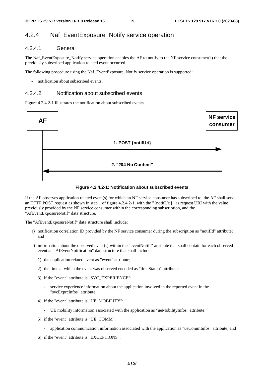### 4.2.4 Naf\_EventExposure\_Notify service operation

### 4.2.4.1 General

The Naf\_EventExposure\_Notify service operation enables the AF to notify to the NF service consumer(s) that the previously subscribed application related event occurred.

The following procedure using the Naf\_EventExposure\_Notify service operation is supported:

notification about subscribed events.

#### 4.2.4.2 Notification about subscribed events

Figure 4.2.4.2-1 illustrates the notification about subscribed events.



#### **Figure 4.2.4.2-1: Notification about subscribed events**

If the AF observes application related event(s) for which an NF service consumer has subscribed to, the AF shall send an HTTP POST request as shown in step 1 of figure 4.2.4.2-1, with the "{notifUri}" as request URI with the value previously provided by the NF service consumer within the corresponding subscription, and the "AfEventExposureNotif" data structure.

The "AfEventExposureNotif" data structure shall include:

- a) notification correlation ID provided by the NF service consumer during the subscription as "notifId" attribute; and
- b) information about the observed event(s) within the "eventNotifs" attribute that shall contain for each observed event an "AfEventNotification" data structure that shall include:
	- 1) the application related event as "event" attribute;
	- 2) the time at which the event was observed encoded as "timeStamp" attribute;
	- 3) if the "event" attribute is "SVC\_EXPERIENCE":
		- service experience information about the application involved in the reported event in the "svcExprcInfos" attribute;
	- 4) if the "event" attribute is "UE\_MOBILITY":
		- UE mobility information associated with the application as "ueMobilityInfos" attribute;
	- 5) if the "event" attribute is "UE\_COMM":
		- application communication information associated with the application as "ueCommInfos" attribute; and
	- 6) if the "event" attribute is "EXCEPTIONS":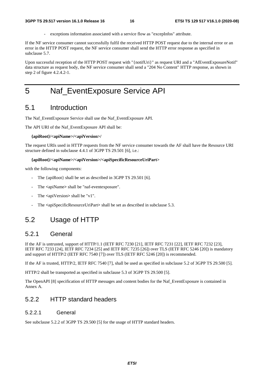exceptions information associated with a service flow as "excepInfos" attribute.

If the NF service consumer cannot successfully fulfil the received HTTP POST request due to the internal error or an error in the HTTP POST request, the NF service consumer shall send the HTTP error response as specified in subclause 5.7.

Upon successful reception of the HTTP POST request with "{notifUri}" as request URI and a "AfEventExposureNotif" data structure as request body, the NF service consumer shall send a "204 No Content" HTTP response, as shown in step 2 of figure 4.2.4.2-1.

# 5 Naf\_EventExposure Service API

### 5.1 Introduction

The Naf\_EventExposure Service shall use the Naf\_EventExposure API.

The API URI of the Naf\_EventExposure API shall be:

#### **{apiRoot}/<apiName>/<apiVersion>/**

The request URIs used in HTTP requests from the NF service consumer towards the AF shall have the Resource URI structure defined in subclause 4.4.1 of 3GPP TS 29.501 [6], i.e.:

#### **{apiRoot}/<apiName>/<apiVersion>/<apiSpecificResourceUriPart>**

with the following components:

- The {apiRoot} shall be set as described in 3GPP TS 29.501 [6].
- The **<**apiName**>** shall be "naf-eventexposure".
- The  $\langle$ apiVersion $\rangle$  shall be "v1".
- The  $\leq$ apiSpecificResourceUriPart> shall be set as described in subclause 5.3.

### 5.2 Usage of HTTP

### 5.2.1 General

If the AF is untrusted, support of HTTP/1.1 (IETF RFC 7230 [21], IETF RFC 7231 [22], IETF RFC 7232 [23], IETF RFC 7233 [24], IETF RFC 7234 [25] and IETF RFC 7235 [26]) over TLS (IETF RFC 5246 [20]) is mandatory and support of HTTP/2 (IETF RFC 7540 [7]) over TLS (IETF RFC 5246 [20]) is recommended.

If the AF is trusted, HTTP/2, IETF RFC 7540 [7], shall be used as specified in subclause 5.2 of 3GPP TS 29.500 [5].

HTTP/2 shall be transported as specified in subclause 5.3 of 3GPP TS 29.500 [5].

The OpenAPI [8] specification of HTTP messages and content bodies for the Naf\_EventExposure is contained in Annex A.

### 5.2.2 HTTP standard headers

#### 5.2.2.1 General

See subclause 5.2.2 of 3GPP TS 29.500 [5] for the usage of HTTP standard headers.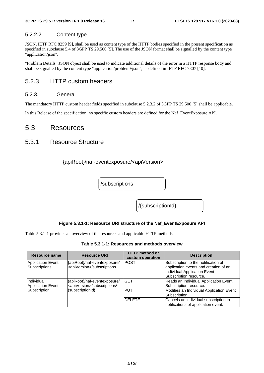### 5.2.2.2 Content type

JSON, IETF RFC 8259 [9], shall be used as content type of the HTTP bodies specified in the present specification as specified in subclause 5.4 of 3GPP TS 29.500 [5]. The use of the JSON format shall be signalled by the content type "application/json".

"Problem Details" JSON object shall be used to indicate additional details of the error in a HTTP response body and shall be signalled by the content type "application/problem+json", as defined in IETF RFC 7807 [10].

### 5.2.3 HTTP custom headers

#### 5.2.3.1 General

The mandatory HTTP custom header fields specified in subclause 5.2.3.2 of 3GPP TS 29.500 [5] shall be applicable.

In this Release of the specification, no specific custom headers are defined for the Naf\_EventExposure API.

### 5.3 Resources

### 5.3.1 Resource Structure



#### **Figure 5.3.1-1: Resource URI structure of the Naf\_EventExposure API**

Table 5.3.1-1 provides an overview of the resources and applicable HTTP methods.

**Table 5.3.1-1: Resources and methods overview** 

| Resource name                          | <b>Resource URI</b>                                                      | <b>HTTP method or</b><br>custom operation | <b>Description</b>                                                                                                                     |
|----------------------------------------|--------------------------------------------------------------------------|-------------------------------------------|----------------------------------------------------------------------------------------------------------------------------------------|
| Application Event<br>Subscriptions     | {apiRoot}/naf-eventexposure/<br><apiversion>/subscriptions</apiversion>  | <b>POST</b>                               | Subscription to the notification of<br>application events and creation of an<br>Individual Application Event<br>Subscription resource. |
| Individual<br><b>Application Event</b> | {apiRoot}/naf-eventexposure/<br><apiversion>/subscriptions/</apiversion> | GET                                       | Reads an Individual Application Event<br>Subscription resource.                                                                        |
| Subscription                           | {subscriptionId}                                                         | <b>PUT</b>                                | Modifies an Individual Application Event<br>Subscription.                                                                              |
|                                        |                                                                          | <b>DELETE</b>                             | Cancels an individual subscription to<br>notifications of application event.                                                           |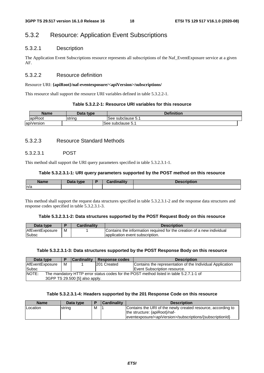# 5.3.2 Resource: Application Event Subscriptions

#### 5.3.2.1 Description

The Application Event Subscriptions resource represents all subscriptions of the Naf\_EventExposure service at a given AF.

#### 5.3.2.2 Resource definition

#### Resource URI: **{apiRoot}/naf-eventexposure/<apiVersion>/subscriptions/**

This resource shall support the resource URI variables defined in table 5.3.2.2-1.

#### **Table 5.3.2.2-1: Resource URI variables for this resource**

| <b>Name</b>            | Data type | <b>Definition</b>         |
|------------------------|-----------|---------------------------|
| lapiRoot               | Istrina   | <b>ISee subclause 5.1</b> |
| $\cdots$<br>apiVersion |           | ISee subclause 5.1        |

#### 5.3.2.3 Resource Standard Methods

#### 5.3.2.3.1 POST

This method shall support the URI query parameters specified in table 5.3.2.3.1-1.

#### **Table 5.3.2.3.1-1: URI query parameters supported by the POST method on this resource**

| Name | Data type | ╺ | `ardinaliŧw | cription |
|------|-----------|---|-------------|----------|
| ln/a |           |   |             |          |

This method shall support the request data structures specified in table 5.3.2.3.1-2 and the response data structures and response codes specified in table 5.3.2.3.1-3.

#### **Table 5.3.2.3.1-2: Data structures supported by the POST Request Body on this resource**

| Data type       |   | <b>Cardinality</b> | <b>Description</b>                                                     |
|-----------------|---|--------------------|------------------------------------------------------------------------|
| AfEventExposure | м |                    | Contains the information required for the creation of a new individual |
| Subsc           |   |                    | lapplication event subscription.                                       |

#### **Table 5.3.2.3.1-3: Data structures supported by the POST Response Body on this resource**

| Data type                                                                                       |   | <b>Cardinality</b> | Response codes     | <b>Description</b>                                        |  |  |
|-------------------------------------------------------------------------------------------------|---|--------------------|--------------------|-----------------------------------------------------------|--|--|
| <b>AfEventExposure</b>                                                                          | м |                    | <b>201 Created</b> | Contains the representation of the Individual Application |  |  |
| Subsc                                                                                           |   |                    |                    | Event Subscription resource.                              |  |  |
| NOTE:<br>The mandatory HTTP error status codes for the POST method listed in table 5.2.7.1-1 of |   |                    |                    |                                                           |  |  |
| 3GPP TS 29.500 [5] also apply.                                                                  |   |                    |                    |                                                           |  |  |

#### **Table 5.3.2.3.1-4: Headers supported by the 201 Response Code on this resource**

| <b>Name</b> | Data type |   | <b>Cardinality</b> | <b>Description</b>                                                                                                                                                        |
|-------------|-----------|---|--------------------|---------------------------------------------------------------------------------------------------------------------------------------------------------------------------|
| Location    | string    | м |                    | Contains the URI of the newly created resource, according to<br>the structure: {apiRoot}/naf-<br> eventexposure/ <apiversion>/subscriptions/{subscriptionId}</apiversion> |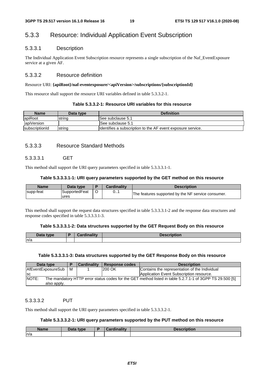### 5.3.3 Resource: Individual Application Event Subscription

#### 5.3.3.1 Description

The Individual Application Event Subscription resource represents a single subscription of the Naf\_EventExposure service at a given AF.

#### 5.3.3.2 Resource definition

#### Resource URI: **{apiRoot}/naf-eventexposure/<apiVersion>/subscriptions/{subscriptionId}**

This resource shall support the resource URI variables defined in table 5.3.3.2-1.

#### **Table 5.3.3.2-1: Resource URI variables for this resource**

| <b>Name</b>            | Data type | <b>Definition</b>                                            |
|------------------------|-----------|--------------------------------------------------------------|
| apiRoot                | Istrina   | ISee subclause 5.1                                           |
| apiVersion             |           | See subclause 5.1                                            |
| <b>IsubscriptionId</b> | Istrina   | Ildentifies a subscription to the AF event exposure service. |

#### 5.3.3.3 Resource Standard Methods

#### 5.3.3.3.1 GET

This method shall support the URI query parameters specified in table 5.3.3.3.1-1.

#### **Table 5.3.3.3.1-1: URI query parameters supported by the GET method on this resource**

| Name      | Data type             | Cardinality | <b>Description</b>                                 |
|-----------|-----------------------|-------------|----------------------------------------------------|
| supp-feat | SupportedFeat<br>ures | ∪ ı         | The features supported by the NF service consumer. |

This method shall support the request data structures specified in table 5.3.3.3.1-2 and the response data structures and response codes specified in table 5.3.3.3.1-3.

#### **Table 5.3.3.3.1-2: Data structures supported by the GET Request Body on this resource**

| Data type | Cardinality | <b>Description</b> |
|-----------|-------------|--------------------|
| ln/a      |             |                    |

#### **Table 5.3.3.3.1-3: Data structures supported by the GET Response Body on this resource**

| Data type                                                                                                         |   | <b>Cardinality</b> | <b>Response codes</b> | <b>Description</b>                            |  |
|-------------------------------------------------------------------------------------------------------------------|---|--------------------|-----------------------|-----------------------------------------------|--|
| AfEventExposureSub                                                                                                | м |                    | 200 OK                | Contains the representation of the Individual |  |
| <b>SC</b>                                                                                                         |   |                    |                       | Application Event Subscription resource.      |  |
| NOTE:<br>The mandatory HTTP error status codes for the GET method listed in table 5.2.7.1-1 of 3GPP TS 29.500 [5] |   |                    |                       |                                               |  |
| also apply.                                                                                                       |   |                    |                       |                                               |  |

#### 5.3.3.3.2 PUT

This method shall support the URI query parameters specified in table 5.3.3.3.2-1.

#### **Table 5.3.3.3.2-1: URI query parameters supported by the PUT method on this resource**

| <b>Name</b> | <b>Pata type</b><br>Dala | and the contract of the second state of the<br>- - - | <b>cription</b> |
|-------------|--------------------------|------------------------------------------------------|-----------------|
| n/a         |                          |                                                      |                 |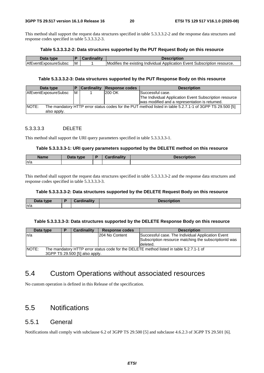This method shall support the request data structures specified in table 5.3.3.3.2-2 and the response data structures and response codes specified in table 5.3.3.3.2-3.

#### **Table 5.3.3.3.2-2: Data structures supported by the PUT Request Body on this resource**

| Data type                   |   | Description                                                                                   |
|-----------------------------|---|-----------------------------------------------------------------------------------------------|
| <b>AfEventExposureSubsc</b> | M | <b>Modifies</b><br>1 Individual Application Event Subscription<br>; the existina<br>resource. |

#### **Table 5.3.3.3.2-3: Data structures supported by the PUT Response Body on this resource**

| Data type                                                                                                                               |   | <b>Cardinality</b> | Response codes | <b>Description</b>                                                                                       |
|-----------------------------------------------------------------------------------------------------------------------------------------|---|--------------------|----------------|----------------------------------------------------------------------------------------------------------|
| AfEventExposureSubsc                                                                                                                    | M |                    | 200 OK         | Successful case.                                                                                         |
|                                                                                                                                         |   |                    |                | The Individual Application Event Subscription resource<br>was modified and a representation is returned. |
| <b>NOTE:</b><br>The mandatory HTTP error status codes for the PUT method listed in table 5.2.7.1-1 of 3GPP TS 29.500 [5]<br>also apply. |   |                    |                |                                                                                                          |

#### 5.3.3.3.3 DELETE

This method shall support the URI query parameters specified in table 5.3.3.3.3-1.

#### **Table 5.3.3.3.3-1: URI query parameters supported by the DELETE method on this resource**

| <b>Name</b> | $That -$<br>tvne<br>Dalc | <b><i>Miller and Historical</i></b><br>$\sim$ | tion<br><b>JOS</b> |
|-------------|--------------------------|-----------------------------------------------|--------------------|
| n/a         |                          |                                               |                    |

This method shall support the request data structures specified in table 5.3.3.3.3-2 and the response data structures and response codes specified in table 5.3.3.3.3-3.

#### **Table 5.3.3.3.3-2: Data structures supported by the DELETE Request Body on this resource**

| Data type | <b>Cardinality</b> | <b>Docorintion</b><br><b>Description</b> |
|-----------|--------------------|------------------------------------------|
| n/a       |                    |                                          |

#### **Table 5.3.3.3.3-3: Data structures supported by the DELETE Response Body on this resource**

| Data type                                                                                         |  | Cardinality                    | <b>Response codes</b> | <b>Description</b>                                    |  |  |
|---------------------------------------------------------------------------------------------------|--|--------------------------------|-----------------------|-------------------------------------------------------|--|--|
| n/a                                                                                               |  |                                | 204 No Content        | Successful case. The Individual Application Event     |  |  |
|                                                                                                   |  |                                |                       | Subscription resource matching the subscriptionId was |  |  |
|                                                                                                   |  |                                |                       | deleted.                                              |  |  |
| INOTE:<br>The mandatory HTTP error status code for the DELETE method listed in table 5.2.7.1-1 of |  |                                |                       |                                                       |  |  |
|                                                                                                   |  | 3GPP TS 29.500 [5] also apply. |                       |                                                       |  |  |

### 5.4 Custom Operations without associated resources

No custom operation is defined in this Release of the specification.

### 5.5 Notifications

### 5.5.1 General

Notifications shall comply with subclause 6.2 of 3GPP TS 29.500 [5] and subclause 4.6.2.3 of 3GPP TS 29.501 [6].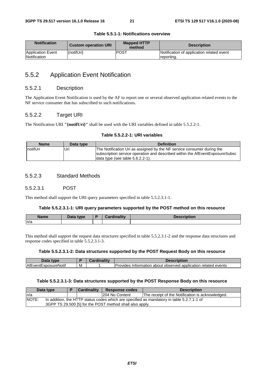| <b>Notification</b>               | <b>Custom operation URI</b> | <b>Mapped HTTP</b><br>method | <b>Description</b>                                      |
|-----------------------------------|-----------------------------|------------------------------|---------------------------------------------------------|
| Application Event<br>Notification | {notifUri}                  | <b>POST</b>                  | Notification of application related event<br>reporting. |

#### **Table 5.5.1-1: Notifications overview**

### 5.5.2 Application Event Notification

#### 5.5.2.1 Description

The Application Event Notification is used by the AF to report one or several observed application related events to the NF service consumer that has subscribed to such notifications.

#### 5.5.2.2 Target URI

The Notification URI **"{notifUri}"** shall be used with the URI variables defined in table 5.5.2.2-1.

#### **Table 5.5.2.2-1: URI variables**

| <b>Name</b> | Data type | <b>Definition</b>                                                                                                                                      |
|-------------|-----------|--------------------------------------------------------------------------------------------------------------------------------------------------------|
| InotifUri   | Uri       | The Notification Uri as assigned by the NF service consumer during the<br>subscription service operation and described within the AfEventExposureSubsc |
|             |           | data type (see table 5.6.2.2-1).                                                                                                                       |

#### 5.5.2.3 Standard Methods

#### 5.5.2.3.1 POST

This method shall support the URI query parameters specified in table 5.5.2.3.1-1.

#### **Table 5.5.2.3.1-1: URI query parameters supported by the POST method on this resource**

| <b>Name</b> | Data type | $\sim$ ardinality | .<br><b>TIDUOL</b> |
|-------------|-----------|-------------------|--------------------|
| ln/a        |           |                   |                    |

This method shall support the request data structures specified in table 5.5.2.3.1-2 and the response data structures and response codes specified in table 5.5.2.3.1-3.

#### **Table 5.5.2.3.1-2: Data structures supported by the POST Request Body on this resource**

| Data<br><b>type</b>         |   | $m = 11$ | escription                                                                             |
|-----------------------------|---|----------|----------------------------------------------------------------------------------------|
| <b>AfEventExposureNotif</b> | M |          | -<br>related<br>events<br>observed<br>application<br>Provides<br>⊧ Information about i |

#### **Table 5.5.2.3.1-3: Data structures supported by the POST Response Body on this resource**

| Data type |                                                                                           | <b>Cardinality</b> |  | <b>Response codes</b> | <b>Description</b>                               |  |  |  |  |
|-----------|-------------------------------------------------------------------------------------------|--------------------|--|-----------------------|--------------------------------------------------|--|--|--|--|
| In/a      |                                                                                           |                    |  | 204 No Content        | The receipt of the Notification is acknowledged. |  |  |  |  |
| INOTE:    | In addition, the HTTP status codes which are specified as mandatory in table 5.2.7.1-1 of |                    |  |                       |                                                  |  |  |  |  |
|           | 3GPP TS 29.500 [5] for the POST method shall also apply.                                  |                    |  |                       |                                                  |  |  |  |  |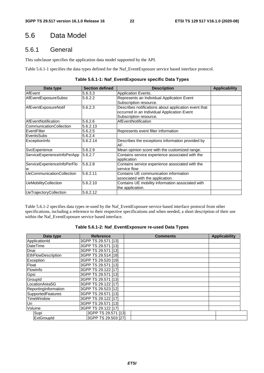# 5.6 Data Model

### 5.6.1 General

This subclause specifies the application data model supported by the API.

Table 5.6.1-1 specifies the data types defined for the Naf\_EventExposure service based interface protocol.

|  | Table 5.6.1-1: Naf_EventExposure specific Data Types |
|--|------------------------------------------------------|
|--|------------------------------------------------------|

| Data type                        | <b>Section defined</b> | <b>Description</b>                                   | <b>Applicability</b> |
|----------------------------------|------------------------|------------------------------------------------------|----------------------|
| AfEvent                          | 5.6.3.3                | Application Events.                                  |                      |
| AfEventExposureSubsc             | 5.6.2.2                | Represents an Individual Application Event           |                      |
|                                  |                        | Subscription resource.                               |                      |
| AfEventExposureNotif             | 5.6.2.3                | Describes notifications about application event that |                      |
|                                  |                        | occurred in an Individual Application Event          |                      |
|                                  |                        | Subscription resource.                               |                      |
| AfEventNotification              | 5.6.2.6                | AfEventNotification                                  |                      |
| CommunicationCollection          | 5.6.2.13               |                                                      |                      |
| EventFilter                      | 5.6.2.5                | Represents event filter information                  |                      |
| EventsSubs                       | 5.6.2.4                |                                                      |                      |
| ExceptionInfo                    | 5.6.2.14               | Describes the exceptions information provided by     |                      |
|                                  |                        | AF.                                                  |                      |
| SvcExperience                    | 5.6.2.9                | Mean opinion score with the customized range.        |                      |
| ServiceExperienceInfoPerApp      | 5.6.2.7                | Contains service experience associated with the      |                      |
|                                  |                        | application                                          |                      |
| ServiceExperienceInfoPerFlo      | 5.6.2.8                | Contains service experience associated with the      |                      |
| W                                |                        | service flow                                         |                      |
| <b>UeCommunicationCollection</b> | 5.6.2.11               | Contains UE communication information                |                      |
|                                  |                        | associated with the application.                     |                      |
| <b>UeMobilityCollection</b>      | 5.6.2.10               | Contains UE mobility information associated with     |                      |
|                                  |                        | the application.                                     |                      |
| UeTrajectoryCollection           | 5.6.2.12               |                                                      |                      |

Table 5.6.1-2 specifies data types re-used by the Naf\_EventExposure service based interface protocol from other specifications, including a reference to their respective specifications and when needed, a short description of their use within the Naf\_EventExposure service based interface.

#### **Table 5.6.1-2: Naf\_EventExposure re-used Data Types**

| Data type                | <b>Reference</b>    | <b>Comments</b> | <b>Applicability</b> |
|--------------------------|---------------------|-----------------|----------------------|
| ApplicationId            | 3GPP TS 29.571 [13] |                 |                      |
| <b>DateTime</b>          | 3GPP TS 29.571 [13] |                 |                      |
| Dnai                     | 3GPP TS 29.571 [13] |                 |                      |
| EthFlowDescription       | 3GPP TS 29.514 [18] |                 |                      |
| Exception                | 3GPP TS 29.520 [19] |                 |                      |
| Float                    | 3GPP TS 29.571 [13] |                 |                      |
| FlowInfo                 | 3GPP TS 29.122 [17] |                 |                      |
| Gpsi                     | 3GPP TS 29.571 [13] |                 |                      |
| GroupId                  | 3GPP TS 29.571 [13] |                 |                      |
| LocationArea5G           | 3GPP TS 29.122 [17] |                 |                      |
| ReportingInformation     | 3GPP TS 29.523 [12] |                 |                      |
| <b>SupportedFeatures</b> | 3GPP TS 29.571 [13] |                 |                      |
| <b>TimeWindow</b>        | 3GPP TS 29.122 [17] |                 |                      |
| Uri                      | 3GPP TS 29.571 [13] |                 |                      |
| Volume                   | 3GPP TS 29.122 [17] |                 |                      |
| Supi                     | 3GPP TS 29.571 [13] |                 |                      |
| ExtGroupId               | 3GPP TS 29.503 [27] |                 |                      |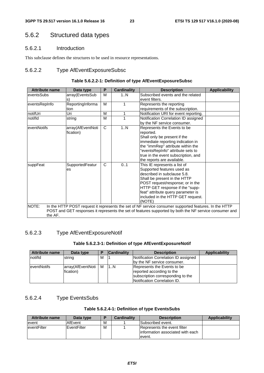### 5.6.2 Structured data types

#### 5.6.2.1 Introduction

This subclause defines the structures to be used in resource representations.

### 5.6.2.2 Type AfEventExposureSubsc

#### **Table 5.6.2.2-1: Definition of type AfEventExposureSubsc**

| <b>Attribute name</b> | Data type         | P            | <b>Cardinality</b> | <b>Description</b>                                                                                     | <b>Applicability</b> |
|-----------------------|-------------------|--------------|--------------------|--------------------------------------------------------------------------------------------------------|----------------------|
| eventsSubs            | array(EventsSub   | M            | 1N                 | Subscribed events and the related                                                                      |                      |
|                       | ls)               |              |                    | event filters.                                                                                         |                      |
| eventsRepInfo         | ReportingInforma  | M            |                    | Represents the reporting                                                                               |                      |
|                       | tion              |              |                    | requirements of the subscription.                                                                      |                      |
| notifUri              | Uri               | м            | 1                  | Notification URI for event reporting.                                                                  |                      |
| notifld               | string            | M            | 1                  | Notification Correlation ID assigned                                                                   |                      |
|                       |                   |              |                    | by the NF service consumer.                                                                            |                      |
| eventNotifs           | array(AfEventNoti | $\mathsf{C}$ | 1N                 | Represents the Events to be                                                                            |                      |
|                       | fication)         |              |                    | reported.                                                                                              |                      |
|                       |                   |              |                    | Shall only be present if the                                                                           |                      |
|                       |                   |              |                    | immediate reporting indication in                                                                      |                      |
|                       |                   |              |                    | the "immRep" attribute within the                                                                      |                      |
|                       |                   |              |                    | "eventsRepInfo" attribute sets to                                                                      |                      |
|                       |                   |              |                    | true in the event subscription, and                                                                    |                      |
|                       |                   |              |                    | the reports are available.                                                                             |                      |
| suppFeat              | SupportedFeatur   | C            | 01                 | This IE represents a list of                                                                           |                      |
|                       | es                |              |                    | Supported features used as                                                                             |                      |
|                       |                   |              |                    | described in subclause 5.8.                                                                            |                      |
|                       |                   |              |                    | Shall be present in the HTTP                                                                           |                      |
|                       |                   |              |                    | POST request/response; or in the                                                                       |                      |
|                       |                   |              |                    | HTTP GET response if the "supp-                                                                        |                      |
|                       |                   |              |                    | feat" attribute query parameter is                                                                     |                      |
|                       |                   |              |                    | included in the HTTP GET request.                                                                      |                      |
|                       |                   |              |                    | (NOTE)                                                                                                 |                      |
| NOTE:                 |                   |              |                    | In the HTTP POST request it represents the set of NF service consumer supported features. In the HTTP  |                      |
|                       |                   |              |                    | POST and GET responses it represents the set of features supported by both the NF service consumer and |                      |
| the AF.               |                   |              |                    |                                                                                                        |                      |

### 5.6.2.3 Type AfEventExposureNotif

#### **Table 5.6.2.3-1: Definition of type AfEventExposureNotif**

| <b>Attribute name</b> | Data type                          | Ð | <b>Cardinality</b> | <b>Description</b>                                                                                                            | Applicability |
|-----------------------|------------------------------------|---|--------------------|-------------------------------------------------------------------------------------------------------------------------------|---------------|
| notifid               | string                             | м |                    | Notification Correlation ID assigned                                                                                          |               |
|                       |                                    |   |                    | by the NF service consumer.                                                                                                   |               |
| <b>leventNotifs</b>   | array(AfEventNoti   M<br>fication) |   | 11N                | Represents the Events to be<br>reported according to the<br>subscription corresponding to the<br>Notification Correlation ID. |               |

### 5.6.2.4 Type EventsSubs

#### **Table 5.6.2.4-1: Definition of type EventsSubs**

| <b>Attribute name</b> | Data type   |   | <b>Cardinality</b> | <b>Description</b>                                                         | <b>Applicability</b> |
|-----------------------|-------------|---|--------------------|----------------------------------------------------------------------------|----------------------|
| event                 | AfEvent     | м |                    | Subscribed event.                                                          |                      |
| eventFilter           | EventFilter | м |                    | Represents the event filter<br>linformation associated with each<br>event. |                      |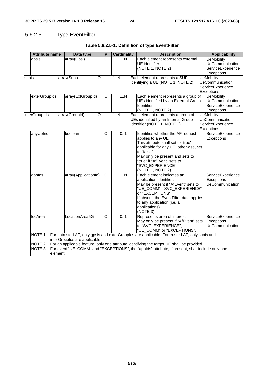# 5.6.2.5 Type EventFilter

|       | <b>Attribute name</b><br>Data type                                                                                                                                                                                                                                                                                                                       |  | P                    | <b>Cardinality</b> |          | <b>Description</b> |  | <b>Applicability</b>                                                                                                                                                                                                                                                |  |                                                                                |  |
|-------|----------------------------------------------------------------------------------------------------------------------------------------------------------------------------------------------------------------------------------------------------------------------------------------------------------------------------------------------------------|--|----------------------|--------------------|----------|--------------------|--|---------------------------------------------------------------------------------------------------------------------------------------------------------------------------------------------------------------------------------------------------------------------|--|--------------------------------------------------------------------------------|--|
|       | gpsis                                                                                                                                                                                                                                                                                                                                                    |  | array(Gpsi)          |                    | O        | 1N                 |  | Each element represents external<br>UE identifier.<br>(NOTE 1, NOTE 2)                                                                                                                                                                                              |  | <b>UeMobility</b><br>UeCommunication<br>ServiceExperience<br>Exceptions        |  |
| supis |                                                                                                                                                                                                                                                                                                                                                          |  | array(Supi)          | O                  |          | 1.1N               |  | Each element represents a SUPI<br>identifying a UE (NOTE 1, NOTE 2)                                                                                                                                                                                                 |  | <b>UeMobility</b><br><b>UeCommunication</b><br>ServiceExperience<br>Exceptions |  |
|       | exterGroupIds                                                                                                                                                                                                                                                                                                                                            |  | array(ExtGroupId)    |                    | O        | 1N                 |  | Each element represents a group of<br>UEs identified by an External Group<br>Identifier.<br>(NOTE 1, NOTE 2)                                                                                                                                                        |  | <b>UeMobility</b><br>UeCommunication<br>ServiceExperience<br>Exceptions        |  |
|       | interGroupIds                                                                                                                                                                                                                                                                                                                                            |  | array(GroupId)       | O                  |          | 1N                 |  | Each element represents a group of<br>UEs identified by an Internal Group<br>Identifier (NOTE 1, NOTE 2)                                                                                                                                                            |  | <b>UeMobility</b><br><b>UeCommunication</b><br>ServiceExperience<br>Exceptions |  |
|       | anyUeInd                                                                                                                                                                                                                                                                                                                                                 |  | boolean              |                    | O        | 0.1                |  | Identifies whether the AF request<br>applies to any UE.<br>This attribute shall set to "true" if<br>applicable for any UE, otherwise, set<br>to "false".<br>May only be present and sets to<br>"true" if "AfEvent" sets to<br>"SVC_EXPERIENCE".<br>(NOTE 1, NOTE 2) |  | ServiceExperience<br>Exceptions                                                |  |
|       | applds                                                                                                                                                                                                                                                                                                                                                   |  | array(ApplicationId) |                    | $\Omega$ | 1.N                |  | Each element indicates an<br>application identifier.<br>May be present if "AfEvent" sets to<br>"UE_COMM", "SVC_EXPERIENCE"<br>or "EXCEPTIONS".<br>If absent, the EventFilter data applies<br>to any application (i.e. all<br>applications)<br>(NOTE 3)              |  | ServiceExperience<br>Exceptions<br><b>UeCommunication</b>                      |  |
|       | locArea                                                                                                                                                                                                                                                                                                                                                  |  | LocationArea5G       |                    | O        | 0.1                |  | Represents area of interest.<br>May only be present if "AfEvent" sets<br>to "SVC_EXPERIENCE",<br>"UE_COMM" or "EXCEPTIONS".                                                                                                                                         |  | ServiceExperience<br>Exceptions<br><b>UeCommunication</b>                      |  |
|       | NOTE 1: For untrusted AF, only gpsis and exterGrouplds are applicable. For trusted AF, only supis and<br>interGroupIds are applicable.<br>NOTE 2: For an applicable feature, only one attribute identifying the target UE shall be provided.<br>NOTE 3: For event "UE COMM" and "EXCEPTIONS", the "applds" attribute, if present, shall include only one |  |                      |                    |          |                    |  |                                                                                                                                                                                                                                                                     |  |                                                                                |  |

### **Table 5.6.2.5-1: Definition of type EventFilter**

 $\mathsf{S}^{\scriptscriptstyle \top}$ , the "appId $\mathsf{s}^{\scriptscriptstyle \top}$  attribute, if present, shall include only element.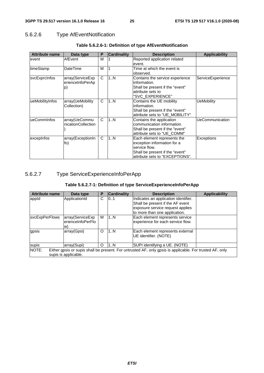### 5.6.2.6 Type AfEventNotification

| <b>Attribute name</b> | Data type                                  | P | <b>Cardinality</b> | <b>Description</b>                                                                                                                                | <b>Applicability</b> |
|-----------------------|--------------------------------------------|---|--------------------|---------------------------------------------------------------------------------------------------------------------------------------------------|----------------------|
| event                 | AfEvent                                    | М |                    | Reported application related<br>event.                                                                                                            |                      |
| timeStamp             | DateTime                                   | M |                    | Time at which the event is<br>observed.                                                                                                           |                      |
| svcExprcInfos         | array(ServiceExp<br>erienceInfoPerAp<br>p) | C | 1N                 | Contains the service experience<br>information.<br>Shall be present if the "event"<br>attribute sets to<br>"SVC EXPERIENCE"                       | ServiceExperience    |
| ueMobilityInfos       | array(UeMobility<br>Collection)            | C | 1N                 | Contains the UE mobility<br>information.<br>Shall be present if the "event"<br>attribute sets to "UE MOBILITY"                                    | <b>UeMobility</b>    |
| ueCommInfos           | array(UeCommu<br>nicationCollection        | C | 1N                 | Contains the application<br>communication information.<br>Shall be present if the "event"<br>attribute sets to "UE_COMM"                          | UeCommunication      |
| excepinfos            | array(ExceptionIn<br>fo)                   | C | 1N                 | Each element represents the<br>exception information for a<br>service flow.<br>Shall be present if the "event"<br>attribute sets to "EXCEPTIONS". | Exceptions           |

### **Table 5.6.2.6-1: Definition of type AfEventNotification**

### 5.6.2.7 Type ServiceExperienceInfoPerApp

### **Table 5.6.2.7-1: Definition of type ServiceExperienceInfoPerApp**

| <b>Attribute name</b>                                                                                                                     | Data type                                    | Р | <b>Cardinality</b> | <b>Description</b>                                                                                                                            | <b>Applicability</b> |  |  |  |
|-------------------------------------------------------------------------------------------------------------------------------------------|----------------------------------------------|---|--------------------|-----------------------------------------------------------------------------------------------------------------------------------------------|----------------------|--|--|--|
| appid                                                                                                                                     | ApplicationId                                | C | 01                 | Indicates an application identifier.<br>Shall be present if the AF event<br>exposure service request applies<br>to more than one application. |                      |  |  |  |
| <b>svcExpPerFlows</b>                                                                                                                     | array(ServiceExp<br>lerienceInfoPerFlo<br>W) | м | 1N                 | Each element represents service<br>experience for each service flow.                                                                          |                      |  |  |  |
| gpsis                                                                                                                                     | array(Gpsi)                                  | O | 1N                 | Each element represents external<br>UE identifier. (NOTE)                                                                                     |                      |  |  |  |
| supis                                                                                                                                     | array(Supi)                                  | O | 1N                 | SUPI identifying a UE. (NOTE)                                                                                                                 |                      |  |  |  |
| NOTE:<br>Either gpsis or supis shall be present. For untrusted AF, only gpsis is applicable. For trusted AF, only<br>supis is applicable. |                                              |   |                    |                                                                                                                                               |                      |  |  |  |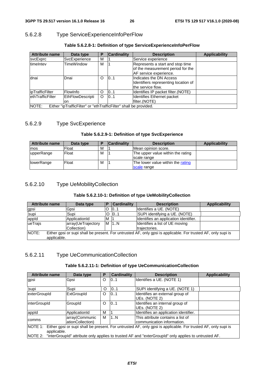### 5.6.2.8 Type ServiceExperienceInfoPerFlow

| <b>Attribute name</b>   | Data type                                                         | Р        | <b>Cardinality</b> | <b>Description</b>                                                                              | Applicability |
|-------------------------|-------------------------------------------------------------------|----------|--------------------|-------------------------------------------------------------------------------------------------|---------------|
| svcExprc                | SvcExperience                                                     | М        |                    | Service experience                                                                              |               |
| timeIntev               | TimeWindow                                                        | м        |                    | Represents a start and stop time<br>of the measurement period for the<br>AF service experience. |               |
| dnai                    | Dnai                                                              | O        | 10.1               | Indicates the DN Access<br>Identifiers representing location of<br>the service flow.            |               |
| ipTrafficFilter         | <b>FlowInfo</b>                                                   | Ω        | 10.1               | Identifies IP packet filter. (NOTE)                                                             |               |
| <b>ethTrafficFilter</b> | EthFlowDescripti<br>on.                                           | $\Omega$ | 101                | Identifies Ethernet packet<br>filter.(NOTE)                                                     |               |
| NOTE:                   | Either "ipTrafficFilter" or "ethTrafficFilter" shall be provided. |          |                    |                                                                                                 |               |

#### **Table 5.6.2.8-1: Definition of type ServiceExperienceInfoPerFlow**

### 5.6.2.9 Type SvcExperience

#### **Table 5.6.2.9-1: Definition of type SvcExperience**

| Attribute name | Data type | D | <b>Cardinality</b> | <b>Description</b>                               | <b>Applicability</b> |
|----------------|-----------|---|--------------------|--------------------------------------------------|----------------------|
| <b>mos</b>     | Float     | M |                    | Mean opinion score.                              |                      |
| upperRange     | Float     | M |                    | The upper value within the rating<br>scale range |                      |
| lowerRange     | Float     | M |                    | The lower value within the rating<br>scale range |                      |

### 5.6.2.10 Type UeMobilityCollection

#### **Table 5.6.2.10-1: Definition of type UeMobilityCollection**

| <b>Attribute name</b>                                                                                                   | Data type          | P | <b>Cardinality</b> | <b>Description</b>                    | <b>Applicability</b> |
|-------------------------------------------------------------------------------------------------------------------------|--------------------|---|--------------------|---------------------------------------|----------------------|
| gpsi                                                                                                                    | Gpsi               |   | 101                | Identifies a UE. (NOTE)               |                      |
| supi                                                                                                                    | Supi               |   | 0.1                | SUPI identifying a UE. (NOTE)         |                      |
| appid                                                                                                                   | ApplicationId      | M |                    | Identifies an application identifier. |                      |
| lueTrajs                                                                                                                | array(UeTrajectory |   | M 1.N              | Identifies a list of UE moving        |                      |
|                                                                                                                         | Collection)        |   |                    | trajectories.                         |                      |
| INOTE:<br>Either gpsi or supi shall be present. For untrusted AF, only gpsi is applicable. For trusted AF, only supi is |                    |   |                    |                                       |                      |
| applicable.                                                                                                             |                    |   |                    |                                       |                      |

### 5.6.2.11 Type UeCommunicationCollection

#### **Table 5.6.2.11-1: Definition of type UeCommunicationCollection**

| <b>Attribute name</b>                                                                                                                | Data type                                                                                                    | P | <b>Cardinality</b> | <b>Description</b>                                               | <b>Applicability</b> |  |
|--------------------------------------------------------------------------------------------------------------------------------------|--------------------------------------------------------------------------------------------------------------|---|--------------------|------------------------------------------------------------------|----------------------|--|
| gpsi                                                                                                                                 | Gpsi                                                                                                         | O | 101                | Identifies a UE. (NOTE 1)                                        |                      |  |
| supi                                                                                                                                 | Supi                                                                                                         | O | 0.1                | SUPI identifying a UE. (NOTE 1)                                  |                      |  |
| exterGroupId                                                                                                                         | <b>ExtGroupId</b>                                                                                            | O | 0.1                | Identifies an external group of<br>UEs. (NOTE 2)                 |                      |  |
| interGroupId                                                                                                                         | GroupId                                                                                                      | O | 101                | Identifies an internal group of<br>lUEs. (NOTE 2)                |                      |  |
| appid                                                                                                                                | ApplicationId                                                                                                | M |                    | Identifies an application identifier.                            |                      |  |
| comms                                                                                                                                | array(Communic<br>ationCollection)                                                                           | М | 1N                 | This attribute contains a list of<br>Icommunication information. |                      |  |
| NOTE 1: Either gpsi or supi shall be present. For untrusted AF, only gpsi is applicable. For trusted AF, only supi is<br>applicable. |                                                                                                              |   |                    |                                                                  |                      |  |
|                                                                                                                                      | NOTE 2: "interGroupId" attribute only applies to trusted AF and "exterGroupId" only applies to untrusted AF. |   |                    |                                                                  |                      |  |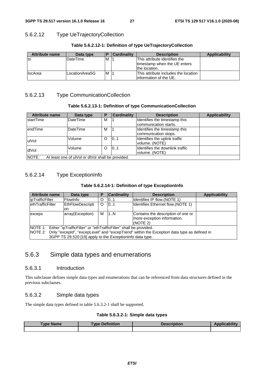### 5.6.2.12 Type UeTrajectoryCollection

| <b>Attribute name</b> | Data type       | I P | <b>Cardinality</b> | <b>Description</b>                                                             | Applicability |
|-----------------------|-----------------|-----|--------------------|--------------------------------------------------------------------------------|---------------|
| Its                   | <b>DateTime</b> | M   |                    | This attribute identifies the<br>timestamp when the UE enters<br>the location. |               |
| <b>llocArea</b>       | LocationArea5G  | M   |                    | This attribute includes the location<br>linformation of the UE.                |               |

#### **Table 5.6.2.12-1: Definition of type UeTrajectoryCollection**

### 5.6.2.13 Type CommunicationCollection

#### **Table 5.6.2.13-1: Definition of type CommunicationCollection**

| <b>Attribute name</b>                                      | Data type       | Р        | <b>Cardinality</b> | <b>Description</b>               | <b>Applicability</b> |
|------------------------------------------------------------|-----------------|----------|--------------------|----------------------------------|----------------------|
| <b>IstartTime</b>                                          | DateTime        | м        |                    | Identifies the timestamp this    |                      |
|                                                            |                 |          |                    | communication starts.            |                      |
| endTime                                                    | <b>DateTime</b> | м        |                    | Identifies the timestamp this    |                      |
|                                                            |                 |          |                    | communication stops.             |                      |
| ulVol                                                      | Volume          | $\Omega$ | 0.1                | Identifies the uplink traffic    |                      |
|                                                            |                 |          |                    | volume. (NOTE)                   |                      |
| dlVol                                                      | Volume          | $\Omega$ | 10.1               | Ildentifies the downlink traffic |                      |
|                                                            |                 |          |                    | volume. (NOTE)                   |                      |
| NOTE:<br>At least one of ulVol or dlVol shall be provided. |                 |          |                    |                                  |                      |

### 5.6.2.14 Type ExceptionInfo

#### **Table 5.6.2.14-1: Definition of type ExceptionInfo**

| <b>Attribute name</b>                                                                                                                                                                                                                        | Data type               | Р       | <b>Cardinality</b> | <b>Description</b>                                                            | <b>Applicability</b> |
|----------------------------------------------------------------------------------------------------------------------------------------------------------------------------------------------------------------------------------------------|-------------------------|---------|--------------------|-------------------------------------------------------------------------------|----------------------|
| <b>lipTrafficFilter</b>                                                                                                                                                                                                                      | <b>FlowInfo</b>         | O       | 0.1                | Identifies IP flow.(NOTE 1)                                                   |                      |
| <b>ethTrafficFilter</b>                                                                                                                                                                                                                      | EthFlowDescripti<br>on. | $\circ$ | 101                | Identifies Ethernet flow. (NOTE 1)                                            |                      |
| exceps                                                                                                                                                                                                                                       | array(Exception)        | м       | 1N                 | Contains the description of one or<br>more exception information.<br>(NOTE 2) |                      |
| NOTE 1: Either "ipTrafficFilter" or "ethTrafficFilter" shall be provided.<br>NOTE 2: Only "excepld", "excepLevel" and "excepTrend" within the Exception data type as defined in<br>3GPP TS 29.520 [19] apply to the Exception nfo data type. |                         |         |                    |                                                                               |                      |

### 5.6.3 Simple data types and enumerations

#### 5.6.3.1 Introduction

This subclause defines simple data types and enumerations that can be referenced from data structures defined in the previous subclauses.

#### 5.6.3.2 Simple data types

The simple data types defined in table 5.6.3.2-1 shall be supported.

#### **Table 5.6.3.2-1: Simple data types**

| Type Name | <b>Type Definition</b> | <b>Description</b> | <b>Applicability</b> |
|-----------|------------------------|--------------------|----------------------|
|           |                        |                    |                      |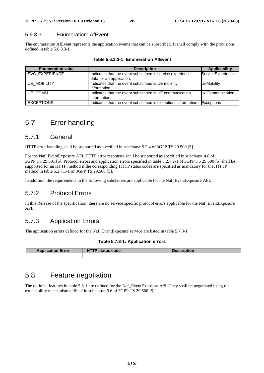#### 5.6.3.3 Enumeration: AfEvent

The enumeration AfEvent represents the application events that can be subscribed. It shall comply with the provisions defined in table 5.6.3.3-1.

| <b>Enumeration value</b> | <b>Description</b>                                                                    | Applicability          |
|--------------------------|---------------------------------------------------------------------------------------|------------------------|
| SVC EXPERIENCE           | Indicates that the event subscribed is service experience<br>data for an application. | ServiceExperience      |
| <b>UE MOBILITY</b>       | Indicates that the event subscribed is UE mobility<br>information.                    | <b>UeMobility</b>      |
| UE COMM                  | Indicates that the event subscribed is UE communication<br>information.               | <b>UeCommunication</b> |
| <b>EXCEPTIONS</b>        | Indicates that the event subscribed is exceptions information. Exceptions             |                        |

**Table 5.6.3.3-1: Enumeration AfEvent** 

### 5.7 Error handling

### 5.7.1 General

HTTP error handling shall be supported as specified in subclause 5.2.4 of 3GPP TS 29.500 [5].

For the Naf\_EventExposure API, HTTP error responses shall be supported as specified in subclause 4.8 of 3GPP TS 29.501 [6]. Protocol errors and application errors specified in table 5.2.7.2-1 of 3GPP TS 29.500 [5] shall be supported for an HTTP method if the corresponding HTTP status codes are specified as mandatory for that HTTP method in table 5.2.7.1-1 of 3GPP TS 29.500 [5].

In addition, the requirements in the following subclauses are applicable for the Naf\_EventExposure API.

### 5.7.2 Protocol Errors

In this Release of the specification, there are no service specific protocol errors applicable for the Naf\_EventExposure API.

### 5.7.3 Application Errors

The application errors defined for the Naf\_EventExposure service are listed in table 5.7.3-1.

#### **Table 5.7.3-1: Application errors**

| <b>Application Error</b> | <b>HTTP status code</b> | <b>Description</b> |
|--------------------------|-------------------------|--------------------|
|                          |                         |                    |

### 5.8 Feature negotiation

The optional features in table 5.8-1 are defined for the Naf\_EventExposure API. They shall be negotiated using the extensibility mechanism defined in subclause 6.6 of 3GPP TS 29.500 [5].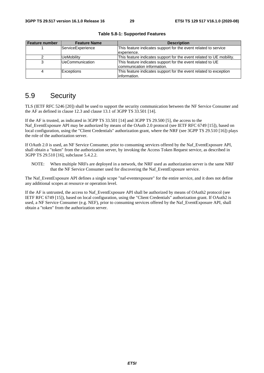| Feature number | <b>Feature Name</b>    | <b>Description</b>                                                   |
|----------------|------------------------|----------------------------------------------------------------------|
|                | ServiceExperience      | This feature indicates support for the event related to service      |
|                |                        | experience.                                                          |
|                | <b>UeMobility</b>      | This feature indicates support for the event related to UE mobility. |
|                | <b>UeCommunication</b> | This feature indicates support for the event related to UE           |
|                |                        | communication information.                                           |
|                | <b>Exceptions</b>      | This feature indicates support for the event related to exception    |
|                |                        | information.                                                         |

**Table 5.8-1: Supported Features** 

# 5.9 Security

TLS (IETF RFC 5246 [20]) shall be used to support the security communication between the NF Service Consumer and the AF as defined in clause 12.3 and clause 13.1 of 3GPP TS 33.501 [14].

If the AF is trusted, as indicated in 3GPP TS 33.501 [14] and 3GPP TS 29.500 [5], the access to the Naf\_EventExposure API may be authorized by means of the OAuth 2.0 protocol (see IETF RFC 6749 [15]), based on local configuration, using the "Client Credentials" authorization grant, where the NRF (see 3GPP TS 29.510 [16]) plays the role of the authorization server.

If OAuth 2.0 is used, an NF Service Consumer, prior to consuming services offered by the Naf\_EventExposure API, shall obtain a "token" from the authorization server, by invoking the Access Token Request service, as described in 3GPP TS 29.510 [16], subclause 5.4.2.2.

NOTE: When multiple NRFs are deployed in a network, the NRF used as authorization server is the same NRF that the NF Service Consumer used for discovering the Naf\_EventExposure service.

The Naf\_EventExposure API defines a single scope "naf-eventexposure" for the entire service, and it does not define any additional scopes at resource or operation level.

If the AF is untrusted, the access to Naf\_EventExposure API shall be authorized by means of OAuth2 protocol (see IETF RFC 6749 [15]), based on local configuration, using the "Client Credentials" authorization grant. If OAuth2 is used, a NF Service Consumer (e.g. NEF), prior to consuming services offered by the Naf\_EventExposure API, shall obtain a "token" from the authorization server.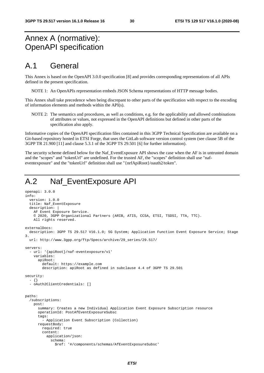# Annex A (normative): OpenAPI specification

# A.1 General

This Annex is based on the OpenAPI 3.0.0 specification [8] and provides corresponding representations of all APIs defined in the present specification.

NOTE 1: An OpenAPIs representation embeds JSON Schema representations of HTTP message bodies.

This Annex shall take precedence when being discrepant to other parts of the specification with respect to the encoding of information elements and methods within the API(s).

NOTE 2: The semantics and procedures, as well as conditions, e.g. for the applicability and allowed combinations of attributes or values, not expressed in the OpenAPI definitions but defined in other parts of the specification also apply.

Informative copies of the OpenAPI specification files contained in this 3GPP Technical Specification are available on a Git-based repository hosted in ETSI Forge, that uses the GitLab software version control system (see clause 5B of the 3GPP TR 21.900 [11] and clause 5.3.1 of the 3GPP TS 29.501 [6] for further information).

The security scheme defined below for the Naf\_EventExposure API shows the case when the AF is in untrusted domain and the "scopes" and "tokenUrl" are undefined. For the trusted AF, the "scopes" definition shall use "nafeventexposure" and the "tokenUrl" definition shall use "{nrfApiRoot}/oauth2/token".

# A.2 Naf EventExposure API

```
openapi: 3.0.0 
info: 
   version: 1.0.0 
   title: Naf_EventExposure 
   description: | 
     AF Event Exposure Service. 
     © 2020, 3GPP Organizational Partners (ARIB, ATIS, CCSA, ETSI, TSDSI, TTA, TTC). 
     All rights reserved. 
externalDocs: 
   description: 3GPP TS 29.517 V16.1.0; 5G System; Application Function Event Exposure Service; Stage 
3. 
   url: http://www.3gpp.org/ftp/Specs/archive/29_series/29.517/ 
servers: 
   - url: '{apiRoot}/naf-eventexposure/v1' 
     variables: 
       apiRoot: 
         default: https://example.com 
         description: apiRoot as defined in subclause 4.4 of 3GPP TS 29.501 
security: 
   - {} 
   - oAuth2ClientCredentials: [] 
paths: 
   /subscriptions: 
     post: 
       summary: Creates a new Individual Application Event Exposure Subscription resource 
       operationId: PostAfEventExposureSubsc 
       tags: 
          - Application Event Subscription (Collection) 
       requestBody: 
         required: true 
         content: 
           application/json: 
              schema: 
                $ref: '#/components/schemas/AfEventExposureSubsc'
```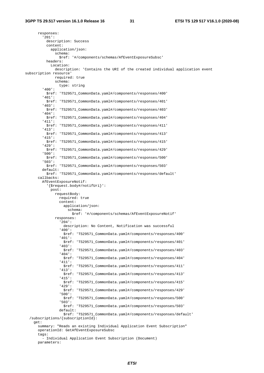responses: '201': description: Success content: application/json: schema: \$ref: '#/components/schemas/AfEventExposureSubsc' headers: Location: description: 'Contains the URI of the created individual application event subscription resource' required: true schema: type: string '400': \$ref: 'TS29571\_CommonData.yaml#/components/responses/400' '401': \$ref: 'TS29571\_CommonData.yaml#/components/responses/401' '403': \$ref: 'TS29571\_CommonData.yaml#/components/responses/403' '404': \$ref: 'TS29571\_CommonData.yaml#/components/responses/404' '411': \$ref: 'TS29571\_CommonData.yaml#/components/responses/411' '413': \$ref: 'TS29571\_CommonData.yaml#/components/responses/413' '415': \$ref: 'TS29571\_CommonData.yaml#/components/responses/415' '429': \$ref: 'TS29571\_CommonData.yaml#/components/responses/429' '500': \$ref: 'TS29571\_CommonData.yaml#/components/responses/500' '503': \$ref: 'TS29571\_CommonData.yaml#/components/responses/503' default: \$ref: 'TS29571\_CommonData.yaml#/components/responses/default' callbacks: AfEventExposureNotif: '{\$request.body#/notifUri}': post: requestBody: required: true content: application/json: schema: \$ref: '#/components/schemas/AfEventExposureNotif' responses: '204': description: No Content, Notification was successful '400': \$ref: 'TS29571\_CommonData.yaml#/components/responses/400' '401': \$ref: 'TS29571\_CommonData.yaml#/components/responses/401' '403': \$ref: 'TS29571\_CommonData.yaml#/components/responses/403' '404': \$ref: 'TS29571\_CommonData.yaml#/components/responses/404' '411': \$ref: 'TS29571\_CommonData.yaml#/components/responses/411' '413': \$ref: 'TS29571\_CommonData.yaml#/components/responses/413' '415': \$ref: 'TS29571\_CommonData.yaml#/components/responses/415' '429': \$ref: 'TS29571\_CommonData.yaml#/components/responses/429' '500': \$ref: 'TS29571\_CommonData.yaml#/components/responses/500' '503': \$ref: 'TS29571\_CommonData.yaml#/components/responses/503' default: \$ref: 'TS29571\_CommonData.yaml#/components/responses/default' /subscriptions/{subscriptionId}: get: summary: "Reads an existing Individual Application Event Subscription" operationId: GetAfEventExposureSubsc tags: - Individual Application Event Subscription (Document) parameters: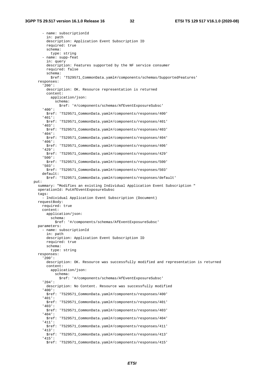- name: subscriptionId in: path description: Application Event Subscription ID required: true schema: type: string - name: supp-feat in: query description: Features supported by the NF service consumer required: false schema: \$ref: 'TS29571\_CommonData.yaml#/components/schemas/SupportedFeatures' responses: '200': description: OK. Resource representation is returned content: application/json: schema: \$ref: '#/components/schemas/AfEventExposureSubsc' '400': \$ref: 'TS29571\_CommonData.yaml#/components/responses/400' '401': \$ref: 'TS29571\_CommonData.yaml#/components/responses/401' '403': \$ref: 'TS29571\_CommonData.yaml#/components/responses/403' '404': \$ref: 'TS29571\_CommonData.yaml#/components/responses/404' '406': \$ref: 'TS29571\_CommonData.yaml#/components/responses/406' '429': \$ref: 'TS29571\_CommonData.yaml#/components/responses/429' '500': \$ref: 'TS29571\_CommonData.yaml#/components/responses/500' '503': \$ref: 'TS29571\_CommonData.yaml#/components/responses/503' default: \$ref: 'TS29571\_CommonData.yaml#/components/responses/default' put: summary: "Modifies an existing Individual Application Event Subscription " operationId: PutAfEventExposureSubsc tags: - Individual Application Event Subscription (Document) requestBody: required: true content: application/json: schema: \$ref: '#/components/schemas/AfEventExposureSubsc' parameters: - name: subscriptionId in: path description: Application Event Subscription ID required: true schema: type: string responses: '200': description: OK. Resource was successfully modified and representation is returned content: application/json: schema: \$ref: '#/components/schemas/AfEventExposureSubsc' '204': description: No Content. Resource was successfully modified '400': \$ref: 'TS29571\_CommonData.yaml#/components/responses/400' '401': \$ref: 'TS29571\_CommonData.yaml#/components/responses/401' '403': \$ref: 'TS29571\_CommonData.yaml#/components/responses/403' '404': \$ref: 'TS29571\_CommonData.yaml#/components/responses/404' '411': \$ref: 'TS29571\_CommonData.yaml#/components/responses/411' '413': \$ref: 'TS29571\_CommonData.yaml#/components/responses/413' '415': \$ref: 'TS29571\_CommonData.yaml#/components/responses/415'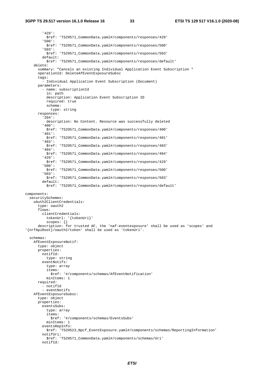#### **3GPP TS 29.517 version 16.1.0 Release 16 33 ETSI TS 129 517 V16.1.0 (2020-08)**

 '429': \$ref: 'TS29571\_CommonData.yaml#/components/responses/429' '500': \$ref: 'TS29571\_CommonData.yaml#/components/responses/500' '503': \$ref: 'TS29571\_CommonData.yaml#/components/responses/503' default: \$ref: 'TS29571\_CommonData.yaml#/components/responses/default' delete: summary: "Cancels an existing Individual Application Event Subscription " operationId: DeleteAfEventExposureSubsc tags: - Individual Application Event Subscription (Document) parameters: - name: subscriptionId in: path description: Application Event Subscription ID required: true schema: type: string responses: '204': description: No Content. Resource was successfully deleted '400': \$ref: 'TS29571\_CommonData.yaml#/components/responses/400' '401': \$ref: 'TS29571\_CommonData.yaml#/components/responses/401' '403': \$ref: 'TS29571\_CommonData.yaml#/components/responses/403' '404': \$ref: 'TS29571\_CommonData.yaml#/components/responses/404' '429': \$ref: 'TS29571\_CommonData.yaml#/components/responses/429' '500': \$ref: 'TS29571\_CommonData.yaml#/components/responses/500' '503': \$ref: 'TS29571\_CommonData.yaml#/components/responses/503' default: \$ref: 'TS29571\_CommonData.yaml#/components/responses/default' components: securitySchemes: oAuth2ClientCredentials: type: oauth2 flows: clientCredentials: tokenUrl: '{tokenUri}' scopes: {} description: for trusted AF, the 'naf-eventexposure' shall be used as 'scopes' and '{nrfApiRoot}/oauth2/token' shall be used as 'tokenUri'. schemas: AfEventExposureNotif: type: object properties: notifId: type: string eventNotifs: type: array items: \$ref: '#/components/schemas/AfEventNotification' minItems: 1 required: - notifId - eventNotifs AfEventExposureSubsc: type: object properties: eventsSubs: type: array items: \$ref: '#/components/schemas/EventsSubs' minItems: 1 eventsRepInfo: \$ref: 'TS29523\_Npcf\_EventExposure.yaml#/components/schemas/ReportingInformation' notifUri: \$ref: 'TS29571\_CommonData.yaml#/components/schemas/Uri' notifId: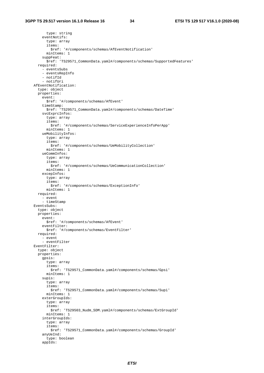type: string eventNotifs: type: array items: \$ref: '#/components/schemas/AfEventNotification' minItems: 1 suppFeat: \$ref: 'TS29571\_CommonData.yaml#/components/schemas/SupportedFeatures' required: - eventsSubs - eventsRepInfo - notifId - notifUri AfEventNotification: type: object properties: event: \$ref: '#/components/schemas/AfEvent' timeStamp: \$ref: 'TS29571\_CommonData.yaml#/components/schemas/DateTime' svcExprcInfos: type: array items: \$ref: '#/components/schemas/ServiceExperienceInfoPerApp' minItems: 1 ueMobilityInfos: type: array items: \$ref: '#/components/schemas/UeMobilityCollection' minItems: 1 ueCommInfos: type: array items: \$ref: '#/components/schemas/UeCommunicationCollection' minItems: 1 excepInfos: type: array items: \$ref: '#/components/schemas/ExceptionInfo' minItems: 1 required: - event - timeStamp EventsSubs: type: object properties: event: \$ref: '#/components/schemas/AfEvent' eventFilter: \$ref: '#/components/schemas/EventFilter' required: - event - eventFilter EventFilter: type: object properties: gpsis: type: array items: \$ref: 'TS29571\_CommonData.yaml#/components/schemas/Gpsi' minItems: 1 supis: type: array items: \$ref: 'TS29571\_CommonData.yaml#/components/schemas/Supi' minItems: 1 exterGroupIds: type: array items: \$ref: 'TS29503\_Nudm\_SDM.yaml#/components/schemas/ExtGroupId' minItems: 1 interGroupIds: type: array items: \$ref: 'TS29571\_CommonData.yaml#/components/schemas/GroupId' anyUeInd: type: boolean appIds: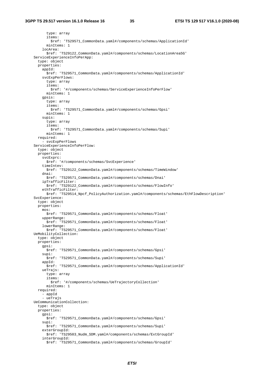type: array items: \$ref: 'TS29571\_CommonData.yaml#/components/schemas/ApplicationId' minItems: 1 locArea: \$ref: 'TS29122\_CommonData.yaml#/components/schemas/LocationArea5G' ServiceExperienceInfoPerApp: type: object properties: appId: \$ref: 'TS29571\_CommonData.yaml#/components/schemas/ApplicationId' svcExpPerFlows: type: array items: \$ref: '#/components/schemas/ServiceExperienceInfoPerFlow' minItems: 1 gpsis: type: array items: \$ref: 'TS29571\_CommonData.yaml#/components/schemas/Gpsi' minItems: 1 supis: type: array items: \$ref: 'TS29571\_CommonData.yaml#/components/schemas/Supi' minItems: 1 required: - svcExpPerFlows ServiceExperienceInfoPerFlow: type: object properties: svcExprc: \$ref: '#/components/schemas/SvcExperience' timeIntev: \$ref: 'TS29122\_CommonData.yaml#/components/schemas/TimeWindow' dnai: \$ref: 'TS29571\_CommonData.yaml#/components/schemas/Dnai' ipTrafficFilter: \$ref: 'TS29122\_CommonData.yaml#/components/schemas/FlowInfo' ethTrafficFilter: \$ref: 'TS29514\_Npcf\_PolicyAuthorization.yaml#/components/schemas/EthFlowDescription' SvcExperience: type: object properties: mos: \$ref: 'TS29571\_CommonData.yaml#/components/schemas/Float' upperRange: \$ref: 'TS29571\_CommonData.yaml#/components/schemas/Float' lowerRange: \$ref: 'TS29571\_CommonData.yaml#/components/schemas/Float' UeMobilityCollection: type: object properties: gpsi: \$ref: 'TS29571\_CommonData.yaml#/components/schemas/Gpsi' supi: \$ref: 'TS29571\_CommonData.yaml#/components/schemas/Supi' appId: \$ref: 'TS29571\_CommonData.yaml#/components/schemas/ApplicationId' ueTrajs: type: array items: \$ref: '#/components/schemas/UeTrajectoryCollection' minItems: 1 required: - appId - ueTrajs UeCommunicationCollection: type: object properties: gpsi: \$ref: 'TS29571\_CommonData.yaml#/components/schemas/Gpsi' supi: \$ref: 'TS29571\_CommonData.yaml#/components/schemas/Supi' exterGroupId: \$ref: 'TS29503\_Nudm\_SDM.yaml#/components/schemas/ExtGroupId' interGroupId: \$ref: 'TS29571\_CommonData.yaml#/components/schemas/GroupId'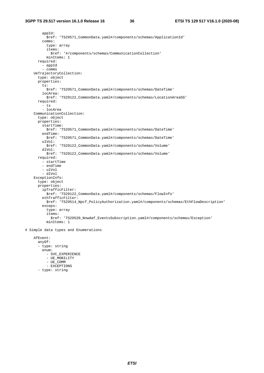appId: \$ref: 'TS29571\_CommonData.yaml#/components/schemas/ApplicationId' comms: type: array items: \$ref: '#/components/schemas/CommunicationCollection' minItems: 1 required: - appId - comms UeTrajectoryCollection: type: object properties: ts: \$ref: 'TS29571\_CommonData.yaml#/components/schemas/DateTime' locArea: \$ref: 'TS29122\_CommonData.yaml#/components/schemas/LocationArea5G' required: - ts - locArea CommunicationCollection: type: object properties: startTime: \$ref: 'TS29571\_CommonData.yaml#/components/schemas/DateTime' endTime: \$ref: 'TS29571\_CommonData.yaml#/components/schemas/DateTime' ulVol: \$ref: 'TS29122\_CommonData.yaml#/components/schemas/Volume' dlVol: \$ref: 'TS29122\_CommonData.yaml#/components/schemas/Volume' required: - startTime - endTime - ulVol - dlVol ExceptionInfo: type: object properties: ipTrafficFilter: \$ref: 'TS29122\_CommonData.yaml#/components/schemas/FlowInfo' ethTrafficFilter: \$ref: 'TS29514\_Npcf\_PolicyAuthorization.yaml#/components/schemas/EthFlowDescription' exceps: type: array items: \$ref: 'TS29520\_Nnwdaf\_EventsSubscription.yaml#/components/schemas/Exception' minItems: 1

# Simple data types and Enumerations

 AfEvent: anyOf: - type: string enum: - SVC EXPERIENCE - UE\_MOBILITY - UE\_COMM - EXCEPTIONS - type: string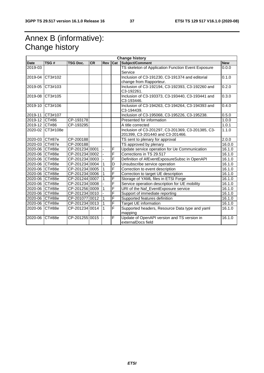# Annex B (informative): Change history

|                |               |                 |           |                |   | <b>Change history</b>                                                                 |            |
|----------------|---------------|-----------------|-----------|----------------|---|---------------------------------------------------------------------------------------|------------|
| <b>Date</b>    | TSG#          | <b>TSG Doc.</b> | <b>CR</b> | <b>Rev</b>     |   | <b>Cat Subject/Comment</b>                                                            | <b>New</b> |
| 2019-03        |               |                 |           |                |   | TS skeleton of Application Function Event Exposure<br>Service                         | 0.0.0      |
| 2019-04        | CT3#102       |                 |           |                |   | Inclusion of C3-191230, C3-191374 and editorial<br>change from Rapporteur.            | 0.1.0      |
| 2019-05        | CT3#103       |                 |           |                |   | Inclusion of C3-192194, C3-192393, C3-192260 and<br>C3-192261.                        | 0.2.0      |
| 2019-08        | CT3#105       |                 |           |                |   | Inclusion of C3-193373, C3-193440, C3-193441 and<br>C3-193446.                        | 0.3.0      |
| 2019-10        | CT3#106       |                 |           |                |   | Inclusion of C3-194263, C3-194264, C3-194393 and<br>C3-194439.                        | 0.4.0      |
| 2019-11        | CT3#107       |                 |           |                |   | Inclusion of C3-195068, C3-195226, C3-195238.                                         | 0.5.0      |
| 2019-12        | CT#86         | CP-193178       |           |                |   | Presented for information                                                             | 1.0.0      |
| 2019-12        | CT#86         | CP-193295       |           |                |   | A title corrected                                                                     | 1.0.1      |
| 2020-02        | CT3#108e      |                 |           |                |   | Inclusion of C3-201297, C3-201369, C3-201385, C3-<br>201399, C3-201440 and C3-201466. | 1.1.0      |
| 2020-03 CT#87e |               | CP-200188       |           |                |   | TS sent to plenary for approval                                                       | 2.0.0      |
| 2020-03 CT#87e |               | CP-200188       |           |                |   | TS approved by plenary                                                                | 16.0.0     |
| 2020-06 CT#88e |               | CP-201234 0001  |           | $\blacksquare$ | F | Update service operation for Ue Communication                                         | 16.1.0     |
| 2020-06 CT#88e |               | CP-201234 0002  |           |                | F | Corrections in TS 29.517                                                              | 16.1.0     |
| 2020-06 CT#88e |               | CP-201234 0003  |           |                | F | Definition of AfEventExposureSubsc in OpenAPI                                         | 16.1.0     |
| 2020-06 CT#88e |               | CP-201234 0004  |           |                | D | Unsubscribe service operation                                                         | 16.1.0     |
| 2020-06 CT#88e |               | CP-201234 0005  |           |                | F | Correction to event description                                                       | 16.1.0     |
| 2020-06 CT#88e |               | CP-201234 0006  |           | 1              | F | Correction to target UE description                                                   | 16.1.0     |
| 2020-06 CT#88e |               | CP-201244 0007  |           |                | F | Storage of YAML files in ETSI Forge                                                   | 16.1.0     |
| 2020-06 CT#88e |               | CP-201234 0008  |           |                | F | Service operation description for UE mobility                                         | 16.1.0     |
| 2020-06 CT#88e |               | CP-201256 0009  |           |                | F | URI of the Naf_EventExposure service                                                  | 16.1.0     |
| 2020-06        | <b>CT#88e</b> | CP-201234 0010  |           |                | F | Support of immediate reporting                                                        | 16.1.0     |
| 2020-06 CT#88e |               | CP-201077 0012  |           | 1              | F | Supported features definition                                                         | 16.1.0     |
| 2020-06 CT#88e |               | CP-201234 0013  |           | $\mathbf{1}$   | F | Target UE information                                                                 | 16.1.0     |
| 2020-06 CT#88e |               | CP-201234 0014  |           | $\mathbf{1}$   | F | Supported headers, Resource Data type and yaml<br>mapping                             | 16.1.0     |
| 2020-06        | <b>CT#88e</b> | CP-201255 0015  |           |                | F | Update of OpenAPI version and TS version in<br>externalDocs field                     | 16.1.0     |